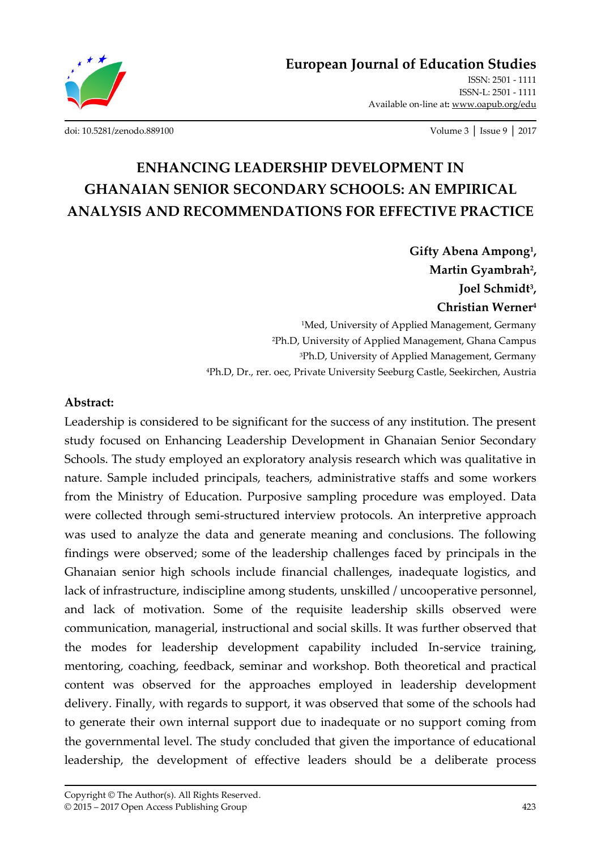

ISSN: 2501 - 1111 ISSN-L: 2501 - 1111 Available on-line at**:** www.oapub.org/edu

[doi: 10.5281/zenodo.889100](http://dx.doi.org/10.5281/zenodo.889100) Volume 3 │ Issue 9 │ 2017

# **ENHANCING LEADERSHIP DEVELOPMENT IN GHANAIAN SENIOR SECONDARY SCHOOLS: AN EMPIRICAL ANALYSIS AND RECOMMENDATIONS FOR EFFECTIVE PRACTICE**

**Gifty Abena Ampong<sup>1</sup> , Martin Gyambrah<sup>2</sup> , Joel Schmidt<sup>3</sup> , Christian Werner<sup>4</sup>** <sup>1</sup>Med, University of Applied Management, Germany

<sup>2</sup>Ph.D, University of Applied Management, Ghana Campus <sup>3</sup>Ph.D, University of Applied Management, Germany <sup>4</sup>Ph.D, Dr., rer. oec, Private University Seeburg Castle, Seekirchen, Austria

#### **Abstract:**

Leadership is considered to be significant for the success of any institution. The present study focused on Enhancing Leadership Development in Ghanaian Senior Secondary Schools. The study employed an exploratory analysis research which was qualitative in nature. Sample included principals, teachers, administrative staffs and some workers from the Ministry of Education. Purposive sampling procedure was employed. Data were collected through semi-structured interview protocols. An interpretive approach was used to analyze the data and generate meaning and conclusions. The following findings were observed; some of the leadership challenges faced by principals in the Ghanaian senior high schools include financial challenges, inadequate logistics, and lack of infrastructure, indiscipline among students, unskilled / uncooperative personnel, and lack of motivation. Some of the requisite leadership skills observed were communication, managerial, instructional and social skills. It was further observed that the modes for leadership development capability included In-service training, mentoring, coaching, feedback, seminar and workshop. Both theoretical and practical content was observed for the approaches employed in leadership development delivery. Finally, with regards to support, it was observed that some of the schools had to generate their own internal support due to inadequate or no support coming from the governmental level. The study concluded that given the importance of educational leadership, the development of effective leaders should be a deliberate process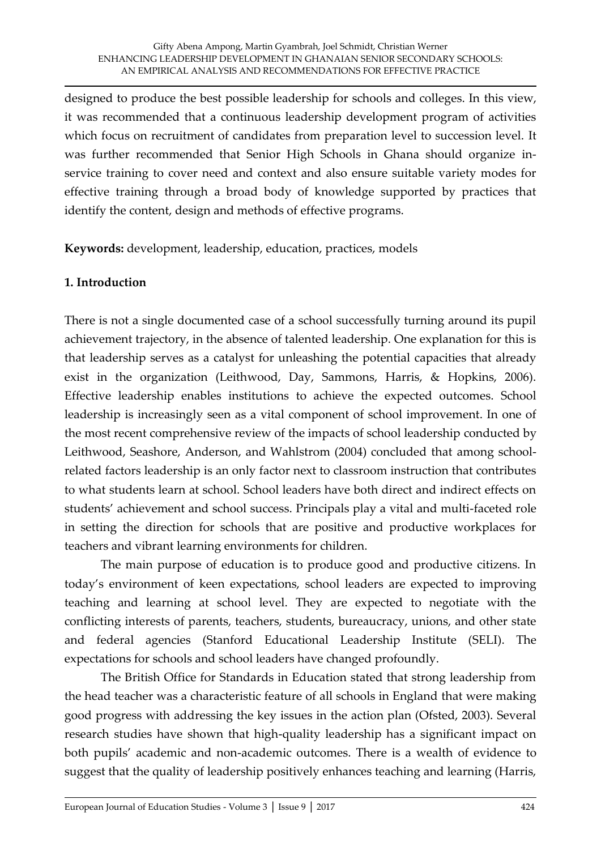designed to produce the best possible leadership for schools and colleges. In this view, it was recommended that a continuous leadership development program of activities which focus on recruitment of candidates from preparation level to succession level. It was further recommended that Senior High Schools in Ghana should organize inservice training to cover need and context and also ensure suitable variety modes for effective training through a broad body of knowledge supported by practices that identify the content, design and methods of effective programs.

**Keywords:** development, leadership, education, practices, models

# **1. Introduction**

There is not a single documented case of a school successfully turning around its pupil achievement trajectory, in the absence of talented leadership. One explanation for this is that leadership serves as a catalyst for unleashing the potential capacities that already exist in the organization (Leithwood, Day, Sammons, Harris, & Hopkins, 2006). Effective leadership enables institutions to achieve the expected outcomes. School leadership is increasingly seen as a vital component of school improvement. In one of the most recent comprehensive review of the impacts of school leadership conducted by Leithwood, Seashore, Anderson, and Wahlstrom (2004) concluded that among schoolrelated factors leadership is an only factor next to classroom instruction that contributes to what students learn at school. School leaders have both direct and indirect effects on students' achievement and school success. Principals play a vital and multi-faceted role in setting the direction for schools that are positive and productive workplaces for teachers and vibrant learning environments for children.

The main purpose of education is to produce good and productive citizens. In today's environment of keen expectations, school leaders are expected to improving teaching and learning at school level. They are expected to negotiate with the conflicting interests of parents, teachers, students, bureaucracy, unions, and other state and federal agencies (Stanford Educational Leadership Institute (SELI). The expectations for schools and school leaders have changed profoundly.

The British Office for Standards in Education stated that strong leadership from the head teacher was a characteristic feature of all schools in England that were making good progress with addressing the key issues in the action plan (Ofsted, 2003). Several research studies have shown that high-quality leadership has a significant impact on both pupils' academic and non-academic outcomes. There is a wealth of evidence to suggest that the quality of leadership positively enhances teaching and learning (Harris,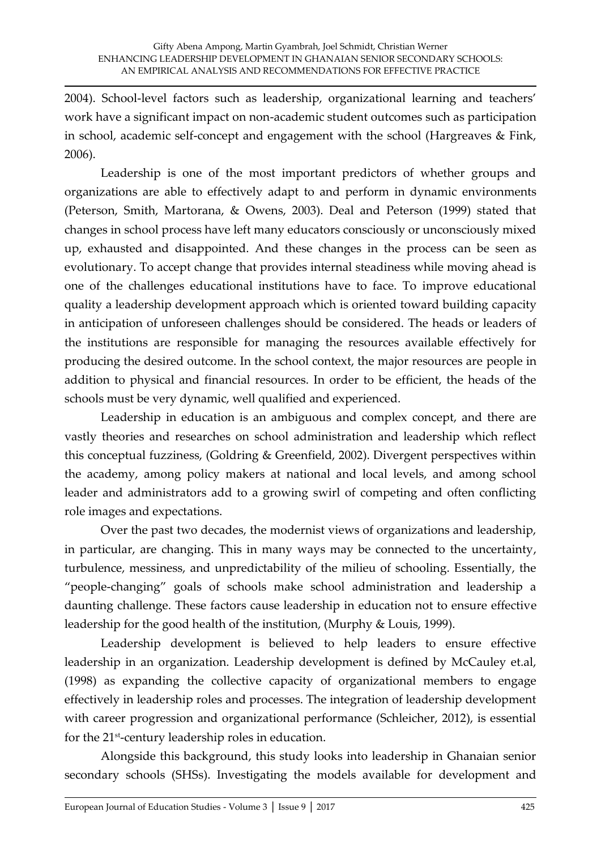2004). School-level factors such as leadership, organizational learning and teachers' work have a significant impact on non-academic student outcomes such as participation in school, academic self-concept and engagement with the school (Hargreaves & Fink, 2006).

Leadership is one of the most important predictors of whether groups and organizations are able to effectively adapt to and perform in dynamic environments (Peterson, Smith, Martorana, & Owens, 2003). Deal and Peterson (1999) stated that changes in school process have left many educators consciously or unconsciously mixed up, exhausted and disappointed. And these changes in the process can be seen as evolutionary. To accept change that provides internal steadiness while moving ahead is one of the challenges educational institutions have to face. To improve educational quality a leadership development approach which is oriented toward building capacity in anticipation of unforeseen challenges should be considered. The heads or leaders of the institutions are responsible for managing the resources available effectively for producing the desired outcome. In the school context, the major resources are people in addition to physical and financial resources. In order to be efficient, the heads of the schools must be very dynamic, well qualified and experienced.

Leadership in education is an ambiguous and complex concept, and there are vastly theories and researches on school administration and leadership which reflect this conceptual fuzziness, (Goldring & Greenfield, 2002). Divergent perspectives within the academy, among policy makers at national and local levels, and among school leader and administrators add to a growing swirl of competing and often conflicting role images and expectations.

Over the past two decades, the modernist views of organizations and leadership, in particular, are changing. This in many ways may be connected to the uncertainty, turbulence, messiness, and unpredictability of the milieu of schooling. Essentially, the 'people-changing' goals of schools make school administration and leadership a daunting challenge. These factors cause leadership in education not to ensure effective leadership for the good health of the institution, (Murphy & Louis, 1999).

Leadership development is believed to help leaders to ensure effective leadership in an organization. Leadership development is defined by McCauley et.al, (1998) as expanding the collective capacity of organizational members to engage effectively in leadership roles and processes. The integration of leadership development with career progression and organizational performance (Schleicher, 2012), is essential for the 21st -century leadership roles in education.

Alongside this background, this study looks into leadership in Ghanaian senior secondary schools (SHSs). Investigating the models available for development and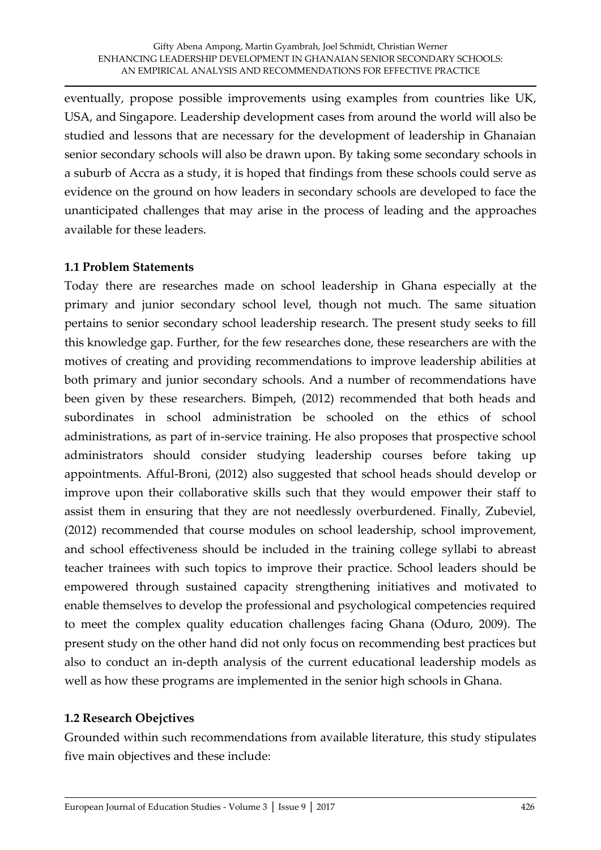eventually, propose possible improvements using examples from countries like UK, USA, and Singapore. Leadership development cases from around the world will also be studied and lessons that are necessary for the development of leadership in Ghanaian senior secondary schools will also be drawn upon. By taking some secondary schools in a suburb of Accra as a study, it is hoped that findings from these schools could serve as evidence on the ground on how leaders in secondary schools are developed to face the unanticipated challenges that may arise in the process of leading and the approaches available for these leaders.

#### **1.1 Problem Statements**

Today there are researches made on school leadership in Ghana especially at the primary and junior secondary school level, though not much. The same situation pertains to senior secondary school leadership research. The present study seeks to fill this knowledge gap. Further, for the few researches done, these researchers are with the motives of creating and providing recommendations to improve leadership abilities at both primary and junior secondary schools. And a number of recommendations have been given by these researchers. Bimpeh, (2012) recommended that both heads and subordinates in school administration be schooled on the ethics of school administrations, as part of in-service training. He also proposes that prospective school administrators should consider studying leadership courses before taking up appointments. Afful-Broni, (2012) also suggested that school heads should develop or improve upon their collaborative skills such that they would empower their staff to assist them in ensuring that they are not needlessly overburdened. Finally, Zubeviel, (2012) recommended that course modules on school leadership, school improvement, and school effectiveness should be included in the training college syllabi to abreast teacher trainees with such topics to improve their practice. School leaders should be empowered through sustained capacity strengthening initiatives and motivated to enable themselves to develop the professional and psychological competencies required to meet the complex quality education challenges facing Ghana (Oduro, 2009). The present study on the other hand did not only focus on recommending best practices but also to conduct an in-depth analysis of the current educational leadership models as well as how these programs are implemented in the senior high schools in Ghana.

# **1.2 Research Obejctives**

Grounded within such recommendations from available literature, this study stipulates five main objectives and these include: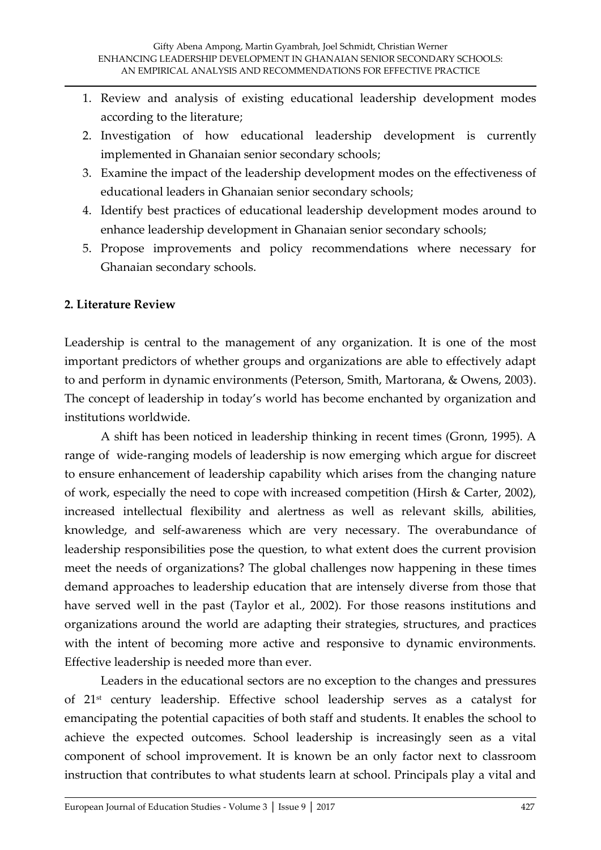- 1. Review and analysis of existing educational leadership development modes according to the literature;
- 2. Investigation of how educational leadership development is currently implemented in Ghanaian senior secondary schools;
- 3. Examine the impact of the leadership development modes on the effectiveness of educational leaders in Ghanaian senior secondary schools;
- 4. Identify best practices of educational leadership development modes around to enhance leadership development in Ghanaian senior secondary schools;
- 5. Propose improvements and policy recommendations where necessary for Ghanaian secondary schools.

# **2. Literature Review**

Leadership is central to the management of any organization. It is one of the most important predictors of whether groups and organizations are able to effectively adapt to and perform in dynamic environments (Peterson, Smith, Martorana, & Owens, 2003). The concept of leadership in today's world has become enchanted by organization and institutions worldwide.

A shift has been noticed in leadership thinking in recent times (Gronn, 1995). A range of wide-ranging models of leadership is now emerging which argue for discreet to ensure enhancement of leadership capability which arises from the changing nature of work, especially the need to cope with increased competition (Hirsh & Carter, 2002), increased intellectual flexibility and alertness as well as relevant skills, abilities, knowledge, and self-awareness which are very necessary. The overabundance of leadership responsibilities pose the question, to what extent does the current provision meet the needs of organizations? The global challenges now happening in these times demand approaches to leadership education that are intensely diverse from those that have served well in the past (Taylor et al., 2002). For those reasons institutions and organizations around the world are adapting their strategies, structures, and practices with the intent of becoming more active and responsive to dynamic environments. Effective leadership is needed more than ever.

Leaders in the educational sectors are no exception to the changes and pressures of 21st century leadership. Effective school leadership serves as a catalyst for emancipating the potential capacities of both staff and students. It enables the school to achieve the expected outcomes. School leadership is increasingly seen as a vital component of school improvement. It is known be an only factor next to classroom instruction that contributes to what students learn at school. Principals play a vital and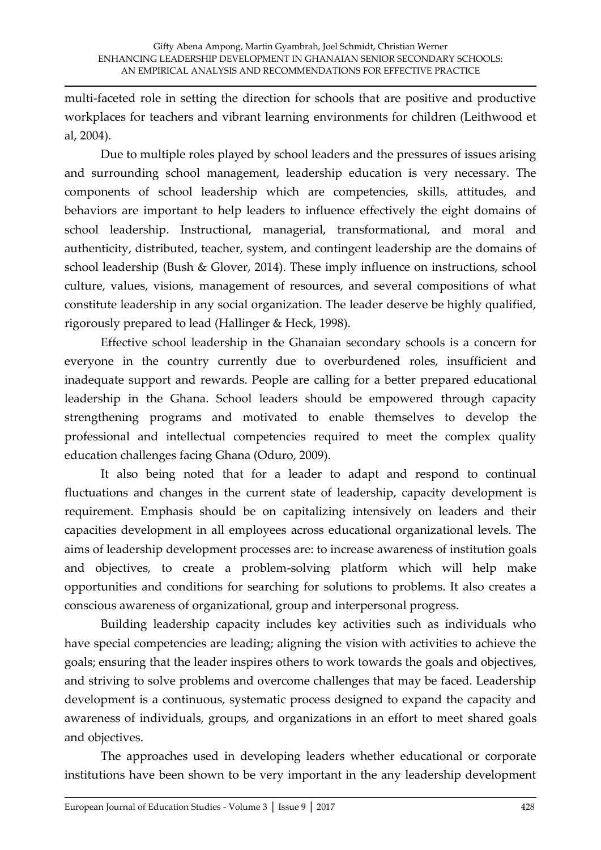multi-faceted role in setting the direction for schools that are positive and productive workplaces for teachers and vibrant learning environments for children (Leithwood et al, 2004).

Due to multiple roles played by school leaders and the pressures of issues arising and surrounding school management, leadership education is very necessary. The components of school leadership which are competencies, skills, attitudes, and behaviors are important to help leaders to influence effectively the eight domains of school leadership. Instructional, managerial, transformational, and moral and authenticity, distributed, teacher, system, and contingent leadership are the domains of school leadership (Bush & Glover, 2014). These imply influence on instructions, school culture, values, visions, management of resources, and several compositions of what constitute leadership in any social organization. The leader deserve be highly qualified, rigorously prepared to lead (Hallinger & Heck, 1998).

Effective school leadership in the Ghanaian secondary schools is a concern for everyone in the country currently due to overburdened roles, insufficient and inadequate support and rewards. People are calling for a better prepared educational leadership in the Ghana. School leaders should be empowered through capacity strengthening programs and motivated to enable themselves to develop the professional and intellectual competencies required to meet the complex quality education challenges facing Ghana (Oduro, 2009).

It also being noted that for a leader to adapt and respond to continual fluctuations and changes in the current state of leadership, capacity development is requirement. Emphasis should be on capitalizing intensively on leaders and their capacities development in all employees across educational organizational levels. The aims of leadership development processes are: to increase awareness of institution goals and objectives, to create a problem-solving platform which will help make opportunities and conditions for searching for solutions to problems. It also creates a conscious awareness of organizational, group and interpersonal progress.

Building leadership capacity includes key activities such as individuals who have special competencies are leading; aligning the vision with activities to achieve the goals; ensuring that the leader inspires others to work towards the goals and objectives, and striving to solve problems and overcome challenges that may be faced. Leadership development is a continuous, systematic process designed to expand the capacity and awareness of individuals, groups, and organizations in an effort to meet shared goals and objectives.

The approaches used in developing leaders whether educational or corporate institutions have been shown to be very important in the any leadership development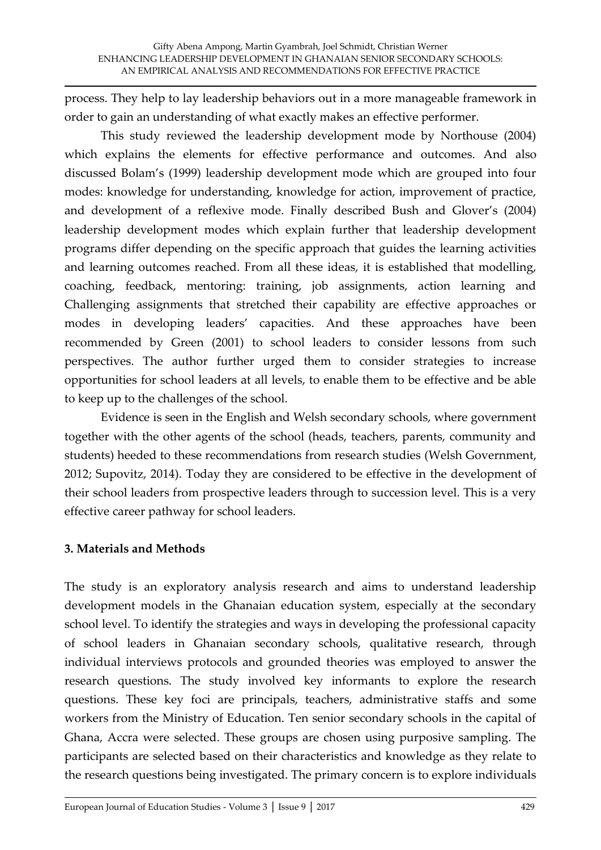process. They help to lay leadership behaviors out in a more manageable framework in order to gain an understanding of what exactly makes an effective performer.

This study reviewed the leadership development mode by Northouse (2004) which explains the elements for effective performance and outcomes. And also discussed Bolam's (1999) leadership development mode which are grouped into four modes: knowledge for understanding, knowledge for action, improvement of practice, and development of a reflexive mode. Finally described Bush and Glover's (2004) leadership development modes which explain further that leadership development programs differ depending on the specific approach that guides the learning activities and learning outcomes reached. From all these ideas, it is established that modelling, coaching, feedback, mentoring: training, job assignments, action learning and Challenging assignments that stretched their capability are effective approaches or modes in developing leaders' capacities. And these approaches have been recommended by Green (2001) to school leaders to consider lessons from such perspectives. The author further urged them to consider strategies to increase opportunities for school leaders at all levels, to enable them to be effective and be able to keep up to the challenges of the school.

Evidence is seen in the English and Welsh secondary schools, where government together with the other agents of the school (heads, teachers, parents, community and students) heeded to these recommendations from research studies (Welsh Government, 2012; Supovitz, 2014). Today they are considered to be effective in the development of their school leaders from prospective leaders through to succession level. This is a very effective career pathway for school leaders.

# **3. Materials and Methods**

The study is an exploratory analysis research and aims to understand leadership development models in the Ghanaian education system, especially at the secondary school level. To identify the strategies and ways in developing the professional capacity of school leaders in Ghanaian secondary schools, qualitative research, through individual interviews protocols and grounded theories was employed to answer the research questions. The study involved key informants to explore the research questions. These key foci are principals, teachers, administrative staffs and some workers from the Ministry of Education. Ten senior secondary schools in the capital of Ghana, Accra were selected. These groups are chosen using purposive sampling. The participants are selected based on their characteristics and knowledge as they relate to the research questions being investigated. The primary concern is to explore individuals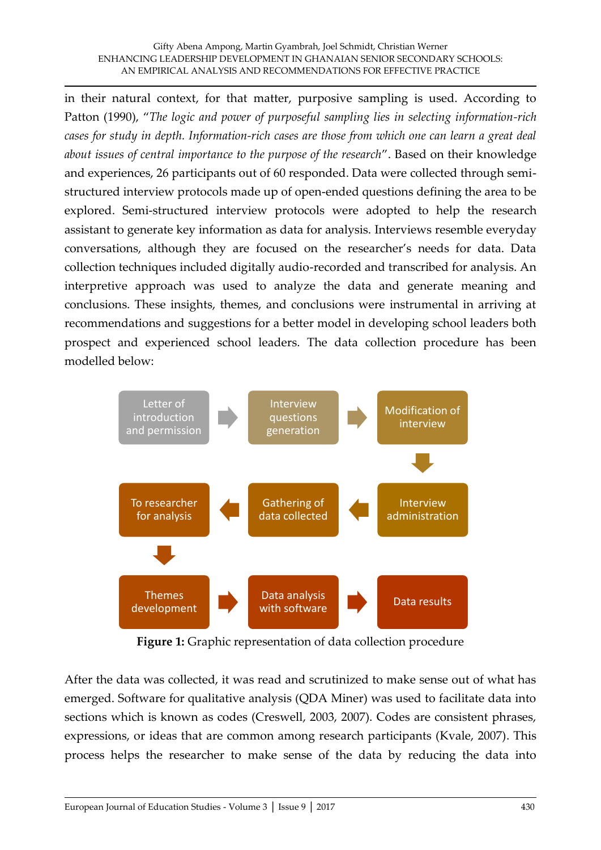in their natural context, for that matter, purposive sampling is used. According to Patton (1990), '*The logic and power of purposeful sampling lies in selecting information-rich cases for study in depth. Information-rich cases are those from which one can learn a great deal about issues of central importance to the purpose of the research*'. Based on their knowledge and experiences, 26 participants out of 60 responded. Data were collected through semistructured interview protocols made up of open-ended questions defining the area to be explored. Semi-structured interview protocols were adopted to help the research assistant to generate key information as data for analysis. Interviews resemble everyday conversations, although they are focused on the researcher's needs for data. Data collection techniques included digitally audio-recorded and transcribed for analysis. An interpretive approach was used to analyze the data and generate meaning and conclusions. These insights, themes, and conclusions were instrumental in arriving at recommendations and suggestions for a better model in developing school leaders both prospect and experienced school leaders. The data collection procedure has been modelled below:



**Figure 1:** Graphic representation of data collection procedure

After the data was collected, it was read and scrutinized to make sense out of what has emerged. Software for qualitative analysis (QDA Miner) was used to facilitate data into sections which is known as codes (Creswell, 2003, 2007). Codes are consistent phrases, expressions, or ideas that are common among research participants (Kvale, 2007). This process helps the researcher to make sense of the data by reducing the data into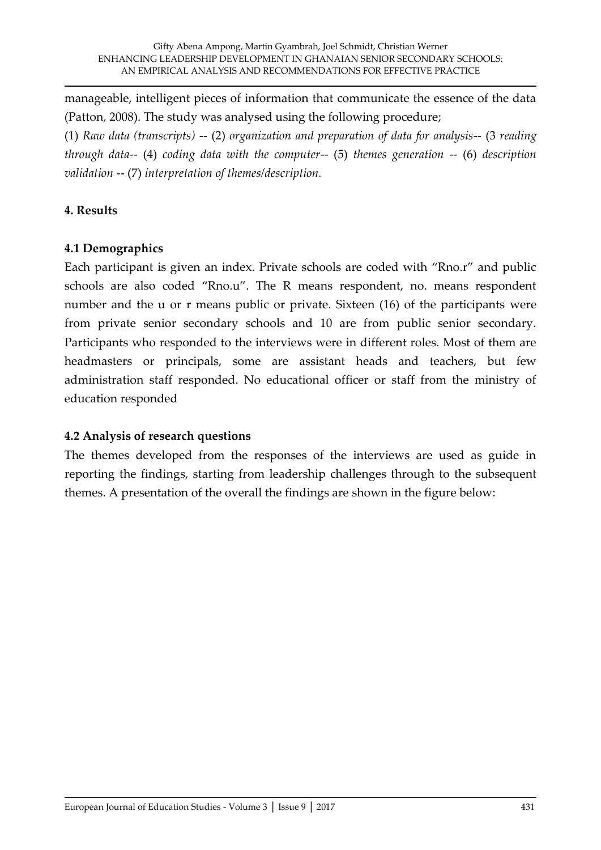manageable, intelligent pieces of information that communicate the essence of the data (Patton, 2008). The study was analysed using the following procedure;

(1) *Raw data (transcripts)* -- (2) *organization and preparation of data for analysis*-- (3 *reading through data*-- (4) *coding data with the computer*-- (5) *themes generation* -- (6) *description validation* -- (7) *interpretation of themes/description.* 

# **4. Results**

# **4.1 Demographics**

Each participant is given an index. Private schools are coded with 'Rno.r' and public schools are also coded 'Rno.u'. The R means respondent, no. means respondent number and the u or r means public or private. Sixteen (16) of the participants were from private senior secondary schools and 10 are from public senior secondary. Participants who responded to the interviews were in different roles. Most of them are headmasters or principals, some are assistant heads and teachers, but few administration staff responded. No educational officer or staff from the ministry of education responded

# **4.2 Analysis of research questions**

The themes developed from the responses of the interviews are used as guide in reporting the findings, starting from leadership challenges through to the subsequent themes. A presentation of the overall the findings are shown in the figure below: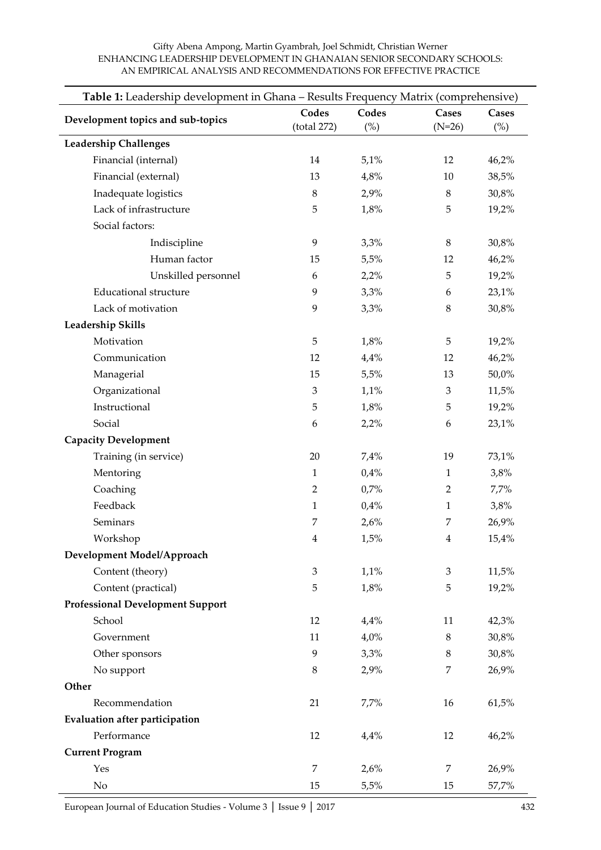#### **Table 1:** Leadership development in Ghana – Results Frequency Matrix (comprehensive) **Development topics and sub-topics Codes** (total 272) **Codes** (%) **Cases** (N=26) **Cases**  $(%)$ **Leadership Challenges** Financial (internal) 14 5,1% 12 46,2% Financial (external) 13 4,8% 10 38,5% Inadequate logistics  $8$  2,9% 8 30,8% Lack of infrastructure  $5 \t 1,8\%$  5 19,2% Social factors: Indiscipline 9 3,3% 8 30,8% Human factor 15 5,5% 12 46,2% Unskilled personnel 6 2,2% 5 19,2% Educational structure  $9$   $3,3\%$  6  $23,1\%$ Lack of motivation  $9$   $3,3\%$   $8$   $30,8\%$ **Leadership Skills** Motivation 5 1,8% 5 19,2% Communication 12 4,4% 12 46,2% Managerial 15 5,5% 13 50,0% Organizational 3 1,1% 3 11,5% Instructional 5 1,8% 5 19,2% Social 6 2,2% 6 23,1% **Capacity Development** Training (in service) 20 7,4% 19 73,1% Mentoring  $1$  0,4%  $1$  3,8% Coaching 2 0,7% 2 7,7% Feedback  $1$  0,4%  $1$  3,8% Seminars 7 2,6% 7 26,9% Workshop 4 1,5% 4 15,4% **Development Model/Approach** Content (theory) 3 1,1% 3 11,5% Content (practical) 5 1,8% 5 19,2% **Professional Development Support** School 12 4,4% 11 42,3% Government 11 4,0% 8 30,8% Other sponsors 9 3,3% 8 30,8% No support 8 2,9% 7 26,9% **Other** Recommendation 21 7,7% 16 61,5% **Evaluation after participation** Performance 20 12 4,4% 12 46,2% **Current Program**  $Y$ es 7 2,6% 7 26,9%

No 15 5,5% 15 57,7%

#### Gifty Abena Ampong, Martin Gyambrah, Joel Schmidt, Christian Werner ENHANCING LEADERSHIP DEVELOPMENT IN GHANAIAN SENIOR SECONDARY SCHOOLS: AN EMPIRICAL ANALYSIS AND RECOMMENDATIONS FOR EFFECTIVE PRACTICE

European Journal of Education Studies - Volume 3 │ Issue 9 │ 2017 432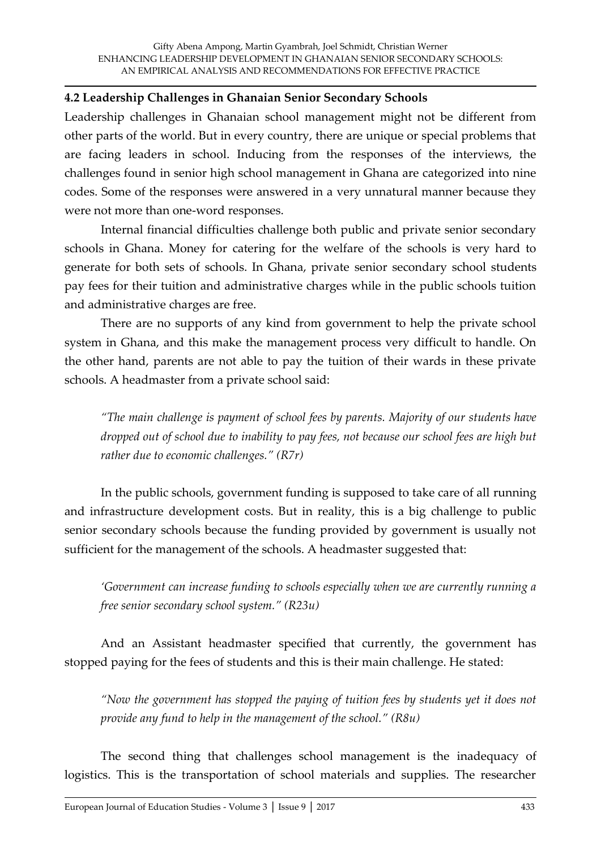#### **4.2 Leadership Challenges in Ghanaian Senior Secondary Schools**

Leadership challenges in Ghanaian school management might not be different from other parts of the world. But in every country, there are unique or special problems that are facing leaders in school. Inducing from the responses of the interviews, the challenges found in senior high school management in Ghana are categorized into nine codes. Some of the responses were answered in a very unnatural manner because they were not more than one-word responses.

Internal financial difficulties challenge both public and private senior secondary schools in Ghana. Money for catering for the welfare of the schools is very hard to generate for both sets of schools. In Ghana, private senior secondary school students pay fees for their tuition and administrative charges while in the public schools tuition and administrative charges are free.

There are no supports of any kind from government to help the private school system in Ghana, and this make the management process very difficult to handle. On the other hand, parents are not able to pay the tuition of their wards in these private schools. A headmaster from a private school said:

*'The main challenge is payment of school fees by parents. Majority of our students have dropped out of school due to inability to pay fees, not because our school fees are high but rather due to economic challenges.' (R7r)*

In the public schools, government funding is supposed to take care of all running and infrastructure development costs. But in reality, this is a big challenge to public senior secondary schools because the funding provided by government is usually not sufficient for the management of the schools. A headmaster suggested that:

*'Government can increase funding to schools especially when we are currently running a free senior secondary school system.' (R23u)*

And an Assistant headmaster specified that currently, the government has stopped paying for the fees of students and this is their main challenge. He stated:

*'Now the government has stopped the paying of tuition fees by students yet it does not provide any fund to help in the management of the school.' (R8u)*

The second thing that challenges school management is the inadequacy of logistics. This is the transportation of school materials and supplies. The researcher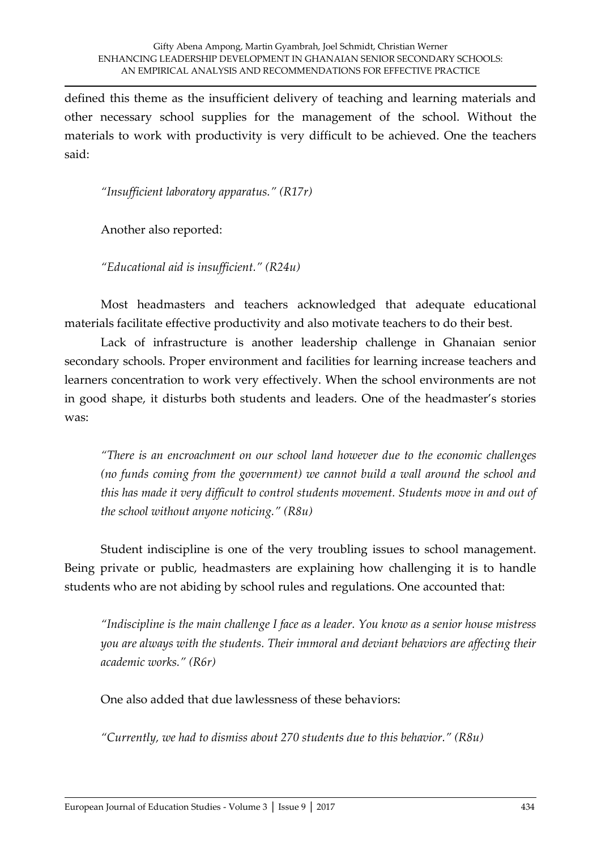defined this theme as the insufficient delivery of teaching and learning materials and other necessary school supplies for the management of the school. Without the materials to work with productivity is very difficult to be achieved. One the teachers said:

*'Insufficient laboratory apparatus.' (R17r)*

Another also reported:

*'Educational aid is insufficient.' (R24u)*

Most headmasters and teachers acknowledged that adequate educational materials facilitate effective productivity and also motivate teachers to do their best.

Lack of infrastructure is another leadership challenge in Ghanaian senior secondary schools. Proper environment and facilities for learning increase teachers and learners concentration to work very effectively. When the school environments are not in good shape, it disturbs both students and leaders. One of the headmaster's stories was:

*'There is an encroachment on our school land however due to the economic challenges (no funds coming from the government) we cannot build a wall around the school and this has made it very difficult to control students movement. Students move in and out of the school without anyone noticing.' (R8u)*

Student indiscipline is one of the very troubling issues to school management. Being private or public, headmasters are explaining how challenging it is to handle students who are not abiding by school rules and regulations. One accounted that:

*'Indiscipline is the main challenge I face as a leader. You know as a senior house mistress you are always with the students. Their immoral and deviant behaviors are affecting their academic works.' (R6r)*

One also added that due lawlessness of these behaviors:

*'Currently, we had to dismiss about 270 students due to this behavior.' (R8u)*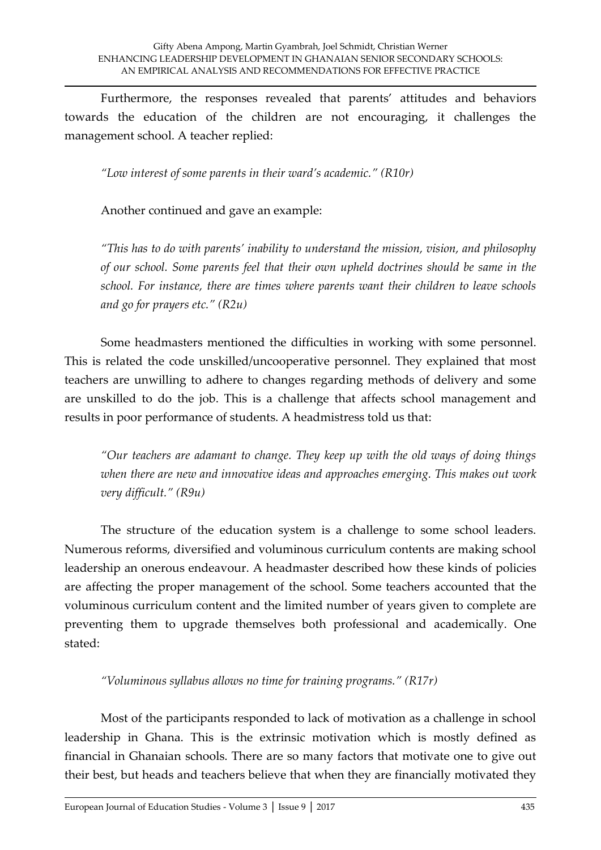Furthermore, the responses revealed that parents' attitudes and behaviors towards the education of the children are not encouraging, it challenges the management school. A teacher replied:

*'Low interest of some parents in their ward's academic.' (R10r)*

Another continued and gave an example:

*'This has to do with parents' inability to understand the mission, vision, and philosophy of our school. Some parents feel that their own upheld doctrines should be same in the school. For instance, there are times where parents want their children to leave schools and go for prayers etc.' (R2u)*

Some headmasters mentioned the difficulties in working with some personnel. This is related the code unskilled/uncooperative personnel. They explained that most teachers are unwilling to adhere to changes regarding methods of delivery and some are unskilled to do the job. This is a challenge that affects school management and results in poor performance of students. A headmistress told us that:

*'Our teachers are adamant to change. They keep up with the old ways of doing things when there are new and innovative ideas and approaches emerging. This makes out work very difficult.' (R9u)*

The structure of the education system is a challenge to some school leaders. Numerous reforms, diversified and voluminous curriculum contents are making school leadership an onerous endeavour. A headmaster described how these kinds of policies are affecting the proper management of the school. Some teachers accounted that the voluminous curriculum content and the limited number of years given to complete are preventing them to upgrade themselves both professional and academically. One stated:

*'Voluminous syllabus allows no time for training programs.' (R17r)*

Most of the participants responded to lack of motivation as a challenge in school leadership in Ghana. This is the extrinsic motivation which is mostly defined as financial in Ghanaian schools. There are so many factors that motivate one to give out their best, but heads and teachers believe that when they are financially motivated they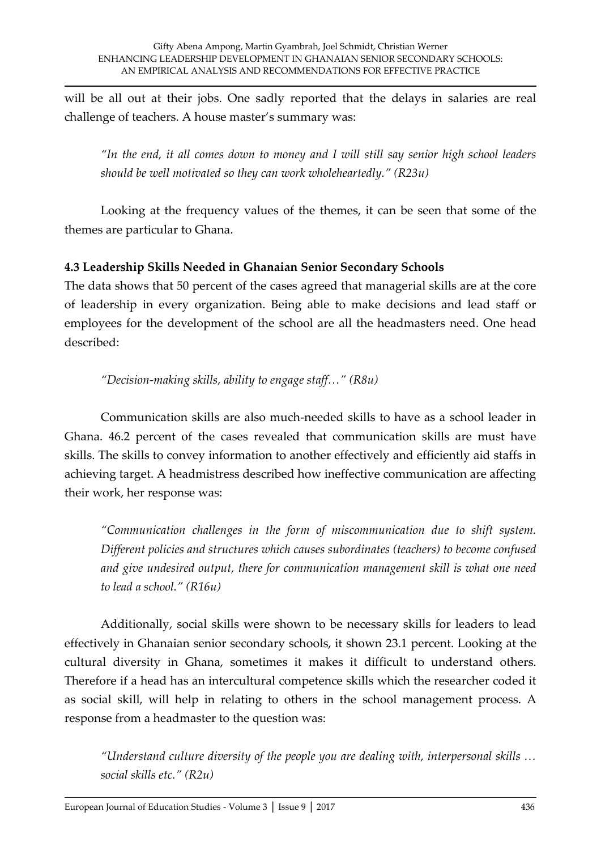will be all out at their jobs. One sadly reported that the delays in salaries are real challenge of teachers. A house master's summary was:

*'In the end, it all comes down to money and I will still say senior high school leaders should be well motivated so they can work wholeheartedly.' (R23u)*

Looking at the frequency values of the themes, it can be seen that some of the themes are particular to Ghana.

# **4.3 Leadership Skills Needed in Ghanaian Senior Secondary Schools**

The data shows that 50 percent of the cases agreed that managerial skills are at the core of leadership in every organization. Being able to make decisions and lead staff or employees for the development of the school are all the headmasters need. One head described:

*'Decision-making skills, ability to engage staff…' (R8u)*

Communication skills are also much-needed skills to have as a school leader in Ghana. 46.2 percent of the cases revealed that communication skills are must have skills. The skills to convey information to another effectively and efficiently aid staffs in achieving target. A headmistress described how ineffective communication are affecting their work, her response was:

*'Communication challenges in the form of miscommunication due to shift system. Different policies and structures which causes subordinates (teachers) to become confused and give undesired output, there for communication management skill is what one need to lead a school.' (R16u)*

Additionally, social skills were shown to be necessary skills for leaders to lead effectively in Ghanaian senior secondary schools, it shown 23.1 percent. Looking at the cultural diversity in Ghana, sometimes it makes it difficult to understand others. Therefore if a head has an intercultural competence skills which the researcher coded it as social skill, will help in relating to others in the school management process. A response from a headmaster to the question was:

*'Understand culture diversity of the people you are dealing with, interpersonal skills … social skills etc.' (R2u)*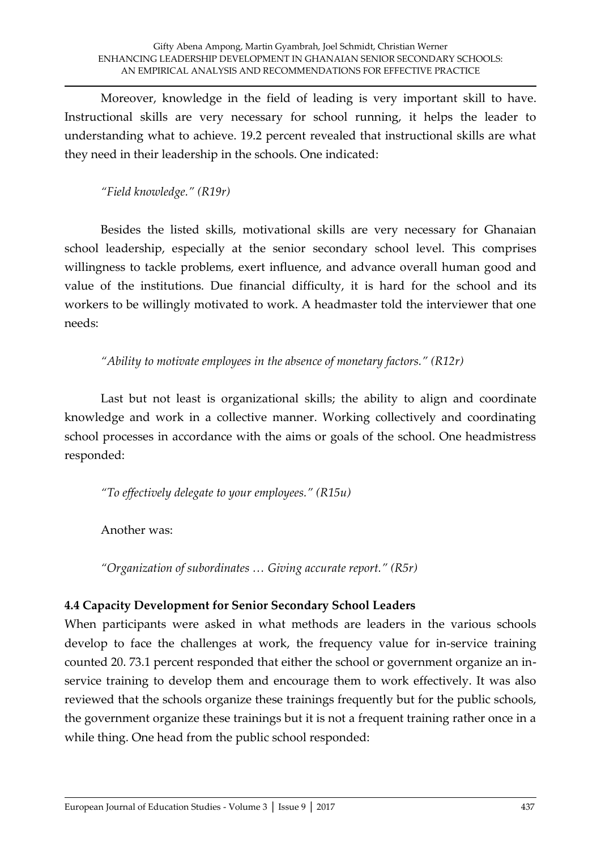Moreover, knowledge in the field of leading is very important skill to have. Instructional skills are very necessary for school running, it helps the leader to understanding what to achieve. 19.2 percent revealed that instructional skills are what they need in their leadership in the schools. One indicated:

*'Field knowledge.' (R19r)*

Besides the listed skills, motivational skills are very necessary for Ghanaian school leadership, especially at the senior secondary school level. This comprises willingness to tackle problems, exert influence, and advance overall human good and value of the institutions. Due financial difficulty, it is hard for the school and its workers to be willingly motivated to work. A headmaster told the interviewer that one needs:

*'Ability to motivate employees in the absence of monetary factors.' (R12r)*

Last but not least is organizational skills; the ability to align and coordinate knowledge and work in a collective manner. Working collectively and coordinating school processes in accordance with the aims or goals of the school. One headmistress responded:

*'To effectively delegate to your employees.' (R15u)*

Another was:

*'Organization of subordinates … Giving accurate report.' (R5r)*

# **4.4 Capacity Development for Senior Secondary School Leaders**

When participants were asked in what methods are leaders in the various schools develop to face the challenges at work, the frequency value for in-service training counted 20. 73.1 percent responded that either the school or government organize an inservice training to develop them and encourage them to work effectively. It was also reviewed that the schools organize these trainings frequently but for the public schools, the government organize these trainings but it is not a frequent training rather once in a while thing. One head from the public school responded: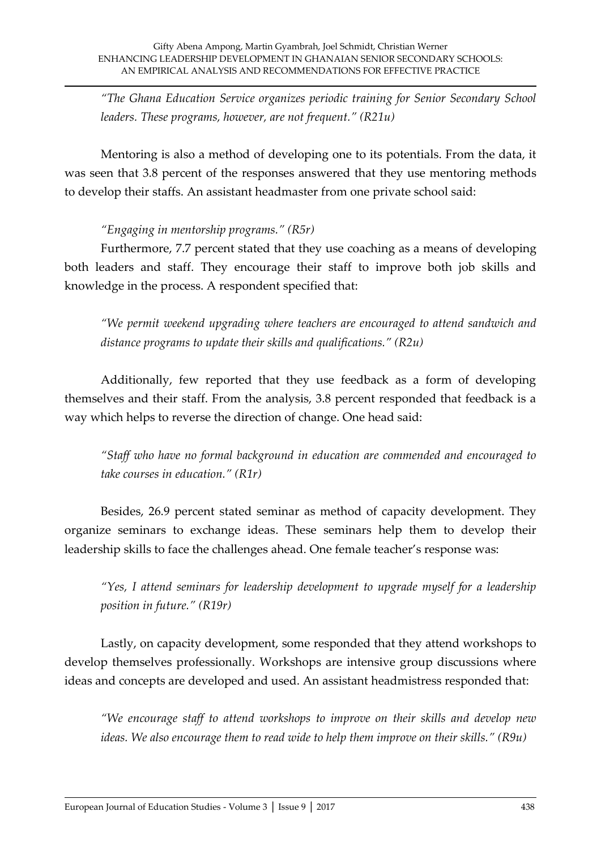*'The Ghana Education Service organizes periodic training for Senior Secondary School leaders. These programs, however, are not frequent.' (R21u)*

Mentoring is also a method of developing one to its potentials. From the data, it was seen that 3.8 percent of the responses answered that they use mentoring methods to develop their staffs. An assistant headmaster from one private school said:

# *'Engaging in mentorship programs.' (R5r)*

Furthermore, 7.7 percent stated that they use coaching as a means of developing both leaders and staff. They encourage their staff to improve both job skills and knowledge in the process. A respondent specified that:

*'We permit weekend upgrading where teachers are encouraged to attend sandwich and distance programs to update their skills and qualifications.' (R2u)*

Additionally, few reported that they use feedback as a form of developing themselves and their staff. From the analysis, 3.8 percent responded that feedback is a way which helps to reverse the direction of change. One head said:

*'Staff who have no formal background in education are commended and encouraged to take courses in education.' (R1r)*

Besides, 26.9 percent stated seminar as method of capacity development. They organize seminars to exchange ideas. These seminars help them to develop their leadership skills to face the challenges ahead. One female teacher's response was:

*'Yes, I attend seminars for leadership development to upgrade myself for a leadership position in future.' (R19r)*

Lastly, on capacity development, some responded that they attend workshops to develop themselves professionally. Workshops are intensive group discussions where ideas and concepts are developed and used. An assistant headmistress responded that:

*'We encourage staff to attend workshops to improve on their skills and develop new ideas. We also encourage them to read wide to help them improve on their skills.' (R9u)*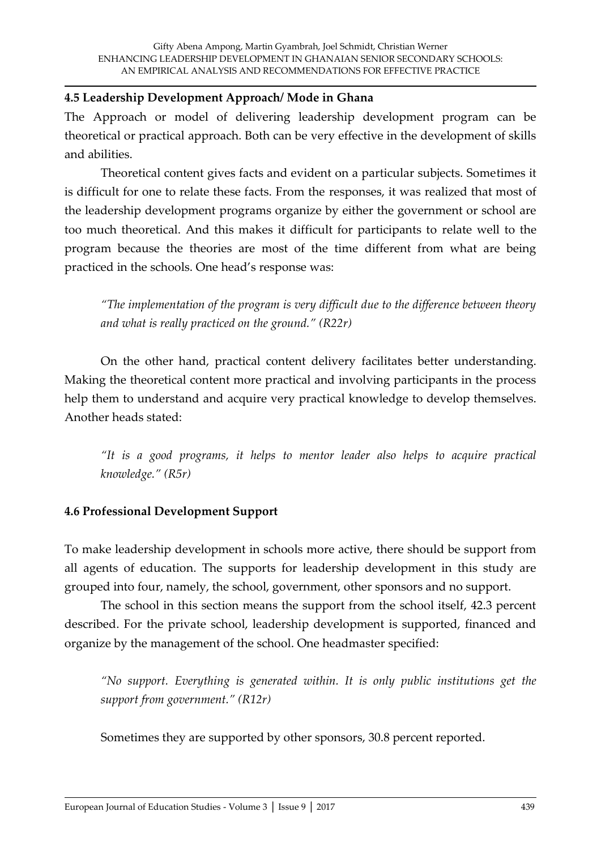#### **4.5 Leadership Development Approach/ Mode in Ghana**

The Approach or model of delivering leadership development program can be theoretical or practical approach. Both can be very effective in the development of skills and abilities.

Theoretical content gives facts and evident on a particular subjects. Sometimes it is difficult for one to relate these facts. From the responses, it was realized that most of the leadership development programs organize by either the government or school are too much theoretical. And this makes it difficult for participants to relate well to the program because the theories are most of the time different from what are being practiced in the schools. One head's response was:

*'The implementation of the program is very difficult due to the difference between theory and what is really practiced on the ground.' (R22r)*

On the other hand, practical content delivery facilitates better understanding. Making the theoretical content more practical and involving participants in the process help them to understand and acquire very practical knowledge to develop themselves. Another heads stated:

*'It is a good programs, it helps to mentor leader also helps to acquire practical knowledge.' (R5r)*

#### **4.6 Professional Development Support**

To make leadership development in schools more active, there should be support from all agents of education. The supports for leadership development in this study are grouped into four, namely, the school, government, other sponsors and no support.

The school in this section means the support from the school itself, 42.3 percent described. For the private school, leadership development is supported, financed and organize by the management of the school. One headmaster specified:

*'No support. Everything is generated within. It is only public institutions get the support from government.' (R12r)*

Sometimes they are supported by other sponsors, 30.8 percent reported.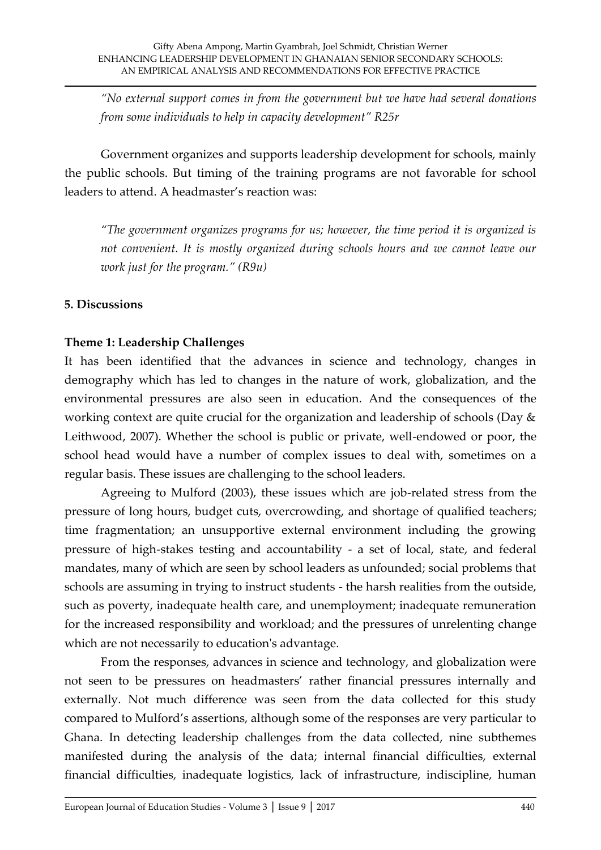*'No external support comes in from the government but we have had several donations from some individuals to help in capacity development' R25r*

Government organizes and supports leadership development for schools, mainly the public schools. But timing of the training programs are not favorable for school leaders to attend. A headmaster's reaction was:

*'The government organizes programs for us; however, the time period it is organized is not convenient. It is mostly organized during schools hours and we cannot leave our work just for the program.' (R9u)*

#### **5. Discussions**

# **Theme 1: Leadership Challenges**

It has been identified that the advances in science and technology, changes in demography which has led to changes in the nature of work, globalization, and the environmental pressures are also seen in education. And the consequences of the working context are quite crucial for the organization and leadership of schools (Day & Leithwood, 2007). Whether the school is public or private, well-endowed or poor, the school head would have a number of complex issues to deal with, sometimes on a regular basis. These issues are challenging to the school leaders.

Agreeing to Mulford (2003), these issues which are job-related stress from the pressure of long hours, budget cuts, overcrowding, and shortage of qualified teachers; time fragmentation; an unsupportive external environment including the growing pressure of high-stakes testing and accountability - a set of local, state, and federal mandates, many of which are seen by school leaders as unfounded; social problems that schools are assuming in trying to instruct students - the harsh realities from the outside, such as poverty, inadequate health care, and unemployment; inadequate remuneration for the increased responsibility and workload; and the pressures of unrelenting change which are not necessarily to education's advantage.

From the responses, advances in science and technology, and globalization were not seen to be pressures on headmasters' rather financial pressures internally and externally. Not much difference was seen from the data collected for this study compared to Mulford's assertions, although some of the responses are very particular to Ghana. In detecting leadership challenges from the data collected, nine subthemes manifested during the analysis of the data; internal financial difficulties, external financial difficulties, inadequate logistics, lack of infrastructure, indiscipline, human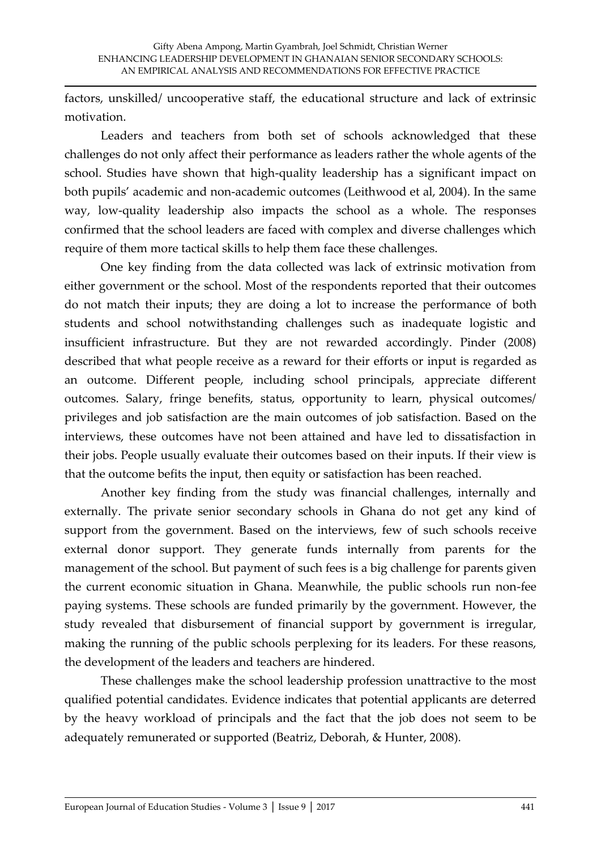factors, unskilled/ uncooperative staff, the educational structure and lack of extrinsic motivation.

Leaders and teachers from both set of schools acknowledged that these challenges do not only affect their performance as leaders rather the whole agents of the school. Studies have shown that high-quality leadership has a significant impact on both pupils' academic and non-academic outcomes (Leithwood et al, 2004). In the same way, low-quality leadership also impacts the school as a whole. The responses confirmed that the school leaders are faced with complex and diverse challenges which require of them more tactical skills to help them face these challenges.

One key finding from the data collected was lack of extrinsic motivation from either government or the school. Most of the respondents reported that their outcomes do not match their inputs; they are doing a lot to increase the performance of both students and school notwithstanding challenges such as inadequate logistic and insufficient infrastructure. But they are not rewarded accordingly. Pinder (2008) described that what people receive as a reward for their efforts or input is regarded as an outcome. Different people, including school principals, appreciate different outcomes. Salary, fringe benefits, status, opportunity to learn, physical outcomes/ privileges and job satisfaction are the main outcomes of job satisfaction. Based on the interviews, these outcomes have not been attained and have led to dissatisfaction in their jobs. People usually evaluate their outcomes based on their inputs. If their view is that the outcome befits the input, then equity or satisfaction has been reached.

Another key finding from the study was financial challenges, internally and externally. The private senior secondary schools in Ghana do not get any kind of support from the government. Based on the interviews, few of such schools receive external donor support. They generate funds internally from parents for the management of the school. But payment of such fees is a big challenge for parents given the current economic situation in Ghana. Meanwhile, the public schools run non-fee paying systems. These schools are funded primarily by the government. However, the study revealed that disbursement of financial support by government is irregular, making the running of the public schools perplexing for its leaders. For these reasons, the development of the leaders and teachers are hindered.

These challenges make the school leadership profession unattractive to the most qualified potential candidates. Evidence indicates that potential applicants are deterred by the heavy workload of principals and the fact that the job does not seem to be adequately remunerated or supported (Beatriz, Deborah, & Hunter, 2008).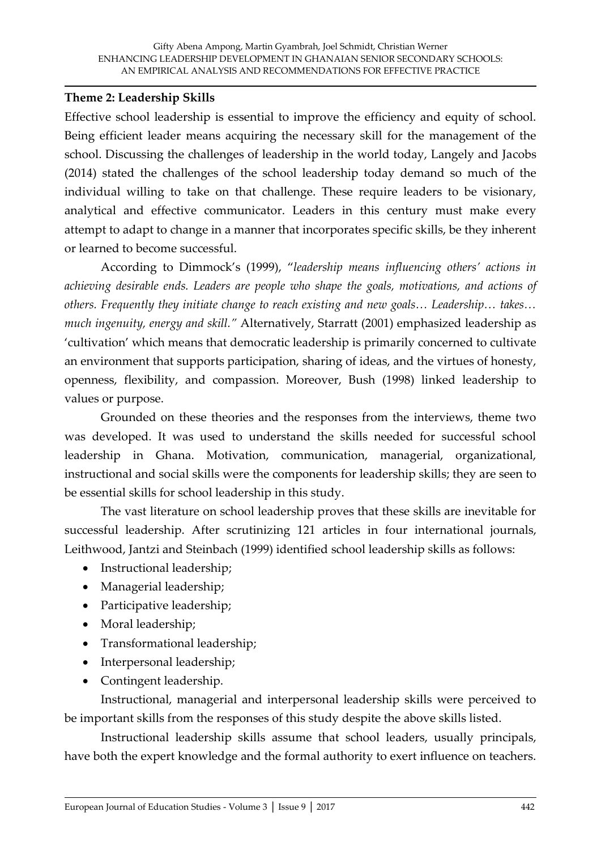#### **Theme 2: Leadership Skills**

Effective school leadership is essential to improve the efficiency and equity of school. Being efficient leader means acquiring the necessary skill for the management of the school. Discussing the challenges of leadership in the world today, Langely and Jacobs (2014) stated the challenges of the school leadership today demand so much of the individual willing to take on that challenge. These require leaders to be visionary, analytical and effective communicator. Leaders in this century must make every attempt to adapt to change in a manner that incorporates specific skills, be they inherent or learned to become successful.

According to Dimmock's (1999), '*leadership means influencing others' actions in achieving desirable ends. Leaders are people who shape the goals, motivations, and actions of others. Frequently they initiate change to reach existing and new goals… Leadership… takes… much ingenuity, energy and skill.'* Alternatively, Starratt (2001) emphasized leadership as 'cultivation' which means that democratic leadership is primarily concerned to cultivate an environment that supports participation, sharing of ideas, and the virtues of honesty, openness, flexibility, and compassion. Moreover, Bush (1998) linked leadership to values or purpose.

Grounded on these theories and the responses from the interviews, theme two was developed. It was used to understand the skills needed for successful school leadership in Ghana. Motivation, communication, managerial, organizational, instructional and social skills were the components for leadership skills; they are seen to be essential skills for school leadership in this study.

The vast literature on school leadership proves that these skills are inevitable for successful leadership. After scrutinizing 121 articles in four international journals, Leithwood, Jantzi and Steinbach (1999) identified school leadership skills as follows:

- Instructional leadership;
- Managerial leadership;
- Participative leadership;
- Moral leadership;
- Transformational leadership;
- Interpersonal leadership;
- Contingent leadership.

Instructional, managerial and interpersonal leadership skills were perceived to be important skills from the responses of this study despite the above skills listed.

Instructional leadership skills assume that school leaders, usually principals, have both the expert knowledge and the formal authority to exert influence on teachers.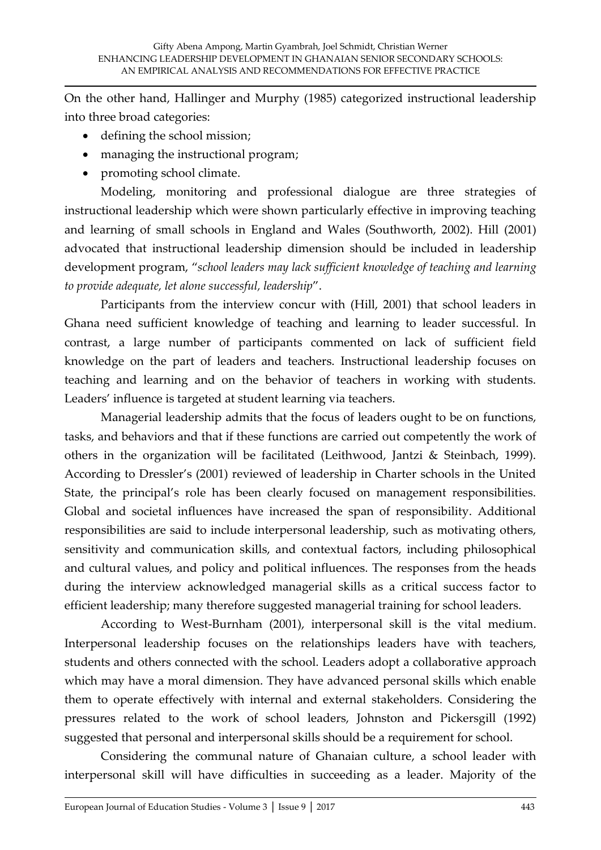On the other hand, Hallinger and Murphy (1985) categorized instructional leadership into three broad categories:

- defining the school mission;
- managing the instructional program;
- promoting school climate.

Modeling, monitoring and professional dialogue are three strategies of instructional leadership which were shown particularly effective in improving teaching and learning of small schools in England and Wales (Southworth, 2002). Hill (2001) advocated that instructional leadership dimension should be included in leadership development program, '*school leaders may lack sufficient knowledge of teaching and learning to provide adequate, let alone successful, leadership*'.

Participants from the interview concur with (Hill, 2001) that school leaders in Ghana need sufficient knowledge of teaching and learning to leader successful. In contrast, a large number of participants commented on lack of sufficient field knowledge on the part of leaders and teachers. Instructional leadership focuses on teaching and learning and on the behavior of teachers in working with students. Leaders' influence is targeted at student learning via teachers.

Managerial leadership admits that the focus of leaders ought to be on functions, tasks, and behaviors and that if these functions are carried out competently the work of others in the organization will be facilitated (Leithwood, Jantzi & Steinbach, 1999). According to Dressler's (2001) reviewed of leadership in Charter schools in the United State, the principal's role has been clearly focused on management responsibilities. Global and societal influences have increased the span of responsibility. Additional responsibilities are said to include interpersonal leadership, such as motivating others, sensitivity and communication skills, and contextual factors, including philosophical and cultural values, and policy and political influences. The responses from the heads during the interview acknowledged managerial skills as a critical success factor to efficient leadership; many therefore suggested managerial training for school leaders.

According to West-Burnham (2001), interpersonal skill is the vital medium. Interpersonal leadership focuses on the relationships leaders have with teachers, students and others connected with the school. Leaders adopt a collaborative approach which may have a moral dimension. They have advanced personal skills which enable them to operate effectively with internal and external stakeholders. Considering the pressures related to the work of school leaders, Johnston and Pickersgill (1992) suggested that personal and interpersonal skills should be a requirement for school.

Considering the communal nature of Ghanaian culture, a school leader with interpersonal skill will have difficulties in succeeding as a leader. Majority of the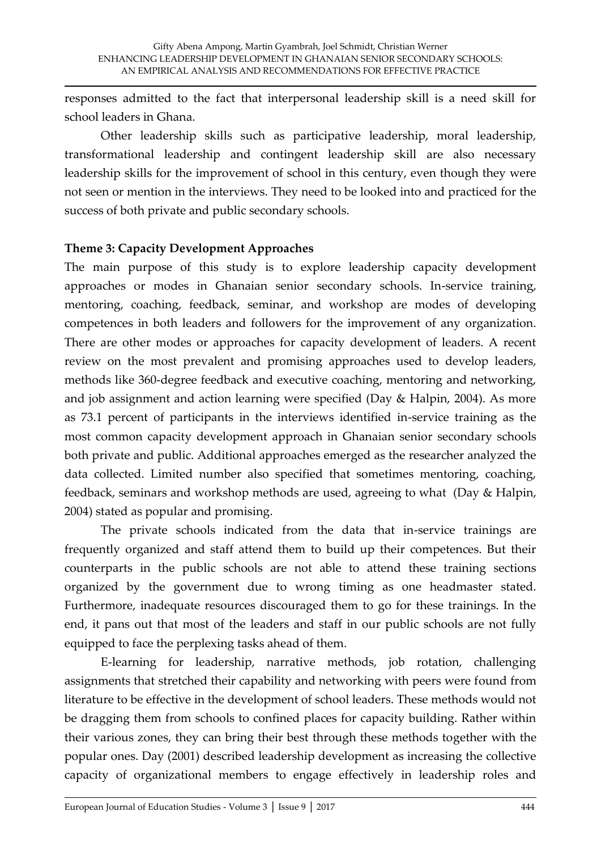responses admitted to the fact that interpersonal leadership skill is a need skill for school leaders in Ghana.

Other leadership skills such as participative leadership, moral leadership, transformational leadership and contingent leadership skill are also necessary leadership skills for the improvement of school in this century, even though they were not seen or mention in the interviews. They need to be looked into and practiced for the success of both private and public secondary schools.

#### **Theme 3: Capacity Development Approaches**

The main purpose of this study is to explore leadership capacity development approaches or modes in Ghanaian senior secondary schools. In-service training, mentoring, coaching, feedback, seminar, and workshop are modes of developing competences in both leaders and followers for the improvement of any organization. There are other modes or approaches for capacity development of leaders. A recent review on the most prevalent and promising approaches used to develop leaders, methods like 360-degree feedback and executive coaching, mentoring and networking, and job assignment and action learning were specified (Day & Halpin, 2004). As more as 73.1 percent of participants in the interviews identified in-service training as the most common capacity development approach in Ghanaian senior secondary schools both private and public. Additional approaches emerged as the researcher analyzed the data collected. Limited number also specified that sometimes mentoring, coaching, feedback, seminars and workshop methods are used, agreeing to what (Day & Halpin, 2004) stated as popular and promising.

The private schools indicated from the data that in-service trainings are frequently organized and staff attend them to build up their competences. But their counterparts in the public schools are not able to attend these training sections organized by the government due to wrong timing as one headmaster stated. Furthermore, inadequate resources discouraged them to go for these trainings. In the end, it pans out that most of the leaders and staff in our public schools are not fully equipped to face the perplexing tasks ahead of them.

E-learning for leadership, narrative methods, job rotation, challenging assignments that stretched their capability and networking with peers were found from literature to be effective in the development of school leaders. These methods would not be dragging them from schools to confined places for capacity building. Rather within their various zones, they can bring their best through these methods together with the popular ones. Day (2001) described leadership development as increasing the collective capacity of organizational members to engage effectively in leadership roles and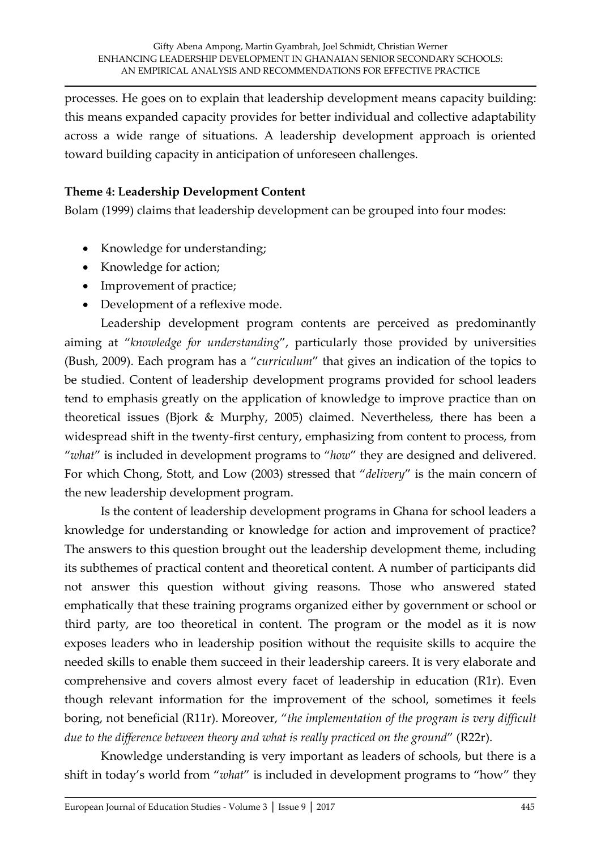processes. He goes on to explain that leadership development means capacity building: this means expanded capacity provides for better individual and collective adaptability across a wide range of situations. A leadership development approach is oriented toward building capacity in anticipation of unforeseen challenges.

#### **Theme 4: Leadership Development Content**

Bolam (1999) claims that leadership development can be grouped into four modes:

- Knowledge for understanding;
- Knowledge for action;
- Improvement of practice;
- Development of a reflexive mode.

Leadership development program contents are perceived as predominantly aiming at '*knowledge for understanding*', particularly those provided by universities (Bush, 2009). Each program has a '*curriculum*' that gives an indication of the topics to be studied. Content of leadership development programs provided for school leaders tend to emphasis greatly on the application of knowledge to improve practice than on theoretical issues (Bjork & Murphy, 2005) claimed. Nevertheless, there has been a widespread shift in the twenty-first century, emphasizing from content to process, from '*what*' is included in development programs to '*how*' they are designed and delivered. For which Chong, Stott, and Low (2003) stressed that '*delivery*' is the main concern of the new leadership development program.

Is the content of leadership development programs in Ghana for school leaders a knowledge for understanding or knowledge for action and improvement of practice? The answers to this question brought out the leadership development theme, including its subthemes of practical content and theoretical content. A number of participants did not answer this question without giving reasons. Those who answered stated emphatically that these training programs organized either by government or school or third party, are too theoretical in content. The program or the model as it is now exposes leaders who in leadership position without the requisite skills to acquire the needed skills to enable them succeed in their leadership careers. It is very elaborate and comprehensive and covers almost every facet of leadership in education (R1r). Even though relevant information for the improvement of the school, sometimes it feels boring, not beneficial (R11r). Moreover, '*the implementation of the program is very difficult due to the difference between theory and what is really practiced on the ground*' (R22r).

Knowledge understanding is very important as leaders of schools, but there is a shift in today's world from '*what*' is included in development programs to 'how' they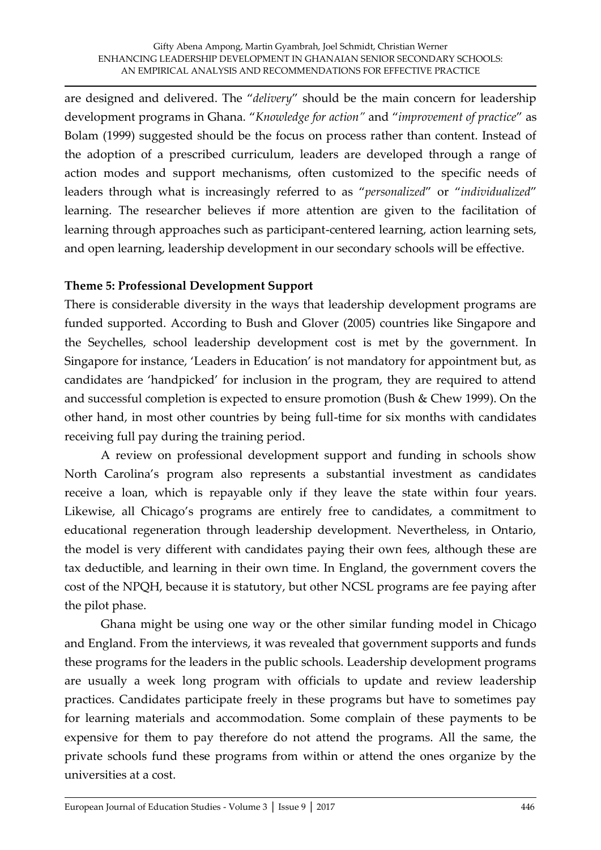are designed and delivered. The '*delivery*' should be the main concern for leadership development programs in Ghana. '*Knowledge for action'* and '*improvement of practice*' as Bolam (1999) suggested should be the focus on process rather than content. Instead of the adoption of a prescribed curriculum, leaders are developed through a range of action modes and support mechanisms, often customized to the specific needs of leaders through what is increasingly referred to as '*personalized*' or '*individualized*' learning. The researcher believes if more attention are given to the facilitation of learning through approaches such as participant-centered learning, action learning sets, and open learning, leadership development in our secondary schools will be effective.

#### **Theme 5: Professional Development Support**

There is considerable diversity in the ways that leadership development programs are funded supported. According to Bush and Glover (2005) countries like Singapore and the Seychelles, school leadership development cost is met by the government. In Singapore for instance, 'Leaders in Education' is not mandatory for appointment but, as candidates are 'handpicked' for inclusion in the program, they are required to attend and successful completion is expected to ensure promotion (Bush & Chew 1999). On the other hand, in most other countries by being full-time for six months with candidates receiving full pay during the training period.

A review on professional development support and funding in schools show North Carolina's program also represents a substantial investment as candidates receive a loan, which is repayable only if they leave the state within four years. Likewise, all Chicago's programs are entirely free to candidates, a commitment to educational regeneration through leadership development. Nevertheless, in Ontario, the model is very different with candidates paying their own fees, although these are tax deductible, and learning in their own time. In England, the government covers the cost of the NPQH, because it is statutory, but other NCSL programs are fee paying after the pilot phase.

Ghana might be using one way or the other similar funding model in Chicago and England. From the interviews, it was revealed that government supports and funds these programs for the leaders in the public schools. Leadership development programs are usually a week long program with officials to update and review leadership practices. Candidates participate freely in these programs but have to sometimes pay for learning materials and accommodation. Some complain of these payments to be expensive for them to pay therefore do not attend the programs. All the same, the private schools fund these programs from within or attend the ones organize by the universities at a cost.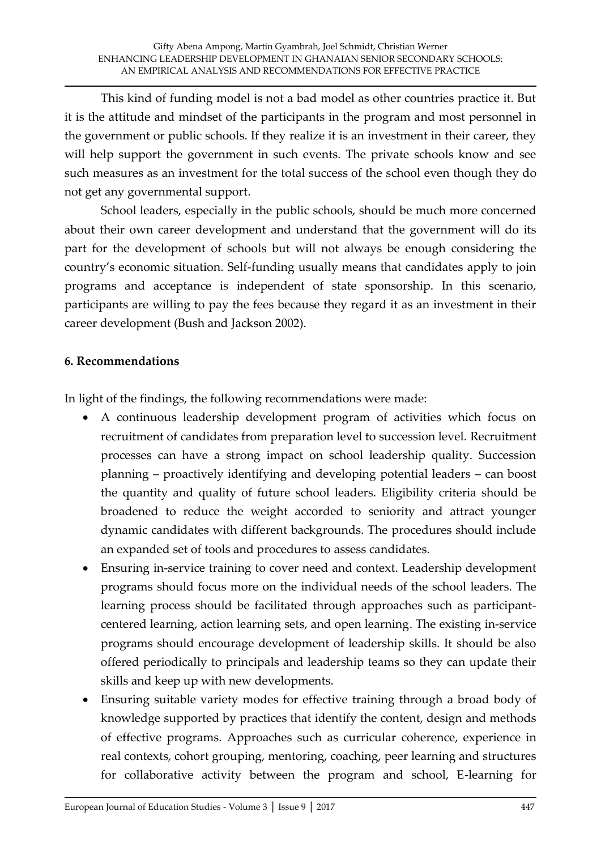This kind of funding model is not a bad model as other countries practice it. But it is the attitude and mindset of the participants in the program and most personnel in the government or public schools. If they realize it is an investment in their career, they will help support the government in such events. The private schools know and see such measures as an investment for the total success of the school even though they do not get any governmental support.

School leaders, especially in the public schools, should be much more concerned about their own career development and understand that the government will do its part for the development of schools but will not always be enough considering the country's economic situation. Self-funding usually means that candidates apply to join programs and acceptance is independent of state sponsorship. In this scenario, participants are willing to pay the fees because they regard it as an investment in their career development (Bush and Jackson 2002).

# **6. Recommendations**

In light of the findings, the following recommendations were made:

- A continuous leadership development program of activities which focus on recruitment of candidates from preparation level to succession level. Recruitment processes can have a strong impact on school leadership quality. Succession planning – proactively identifying and developing potential leaders – can boost the quantity and quality of future school leaders. Eligibility criteria should be broadened to reduce the weight accorded to seniority and attract younger dynamic candidates with different backgrounds. The procedures should include an expanded set of tools and procedures to assess candidates.
- Ensuring in-service training to cover need and context. Leadership development programs should focus more on the individual needs of the school leaders. The learning process should be facilitated through approaches such as participantcentered learning, action learning sets, and open learning. The existing in-service programs should encourage development of leadership skills. It should be also offered periodically to principals and leadership teams so they can update their skills and keep up with new developments.
- Ensuring suitable variety modes for effective training through a broad body of knowledge supported by practices that identify the content, design and methods of effective programs. Approaches such as curricular coherence, experience in real contexts, cohort grouping, mentoring, coaching, peer learning and structures for collaborative activity between the program and school, E-learning for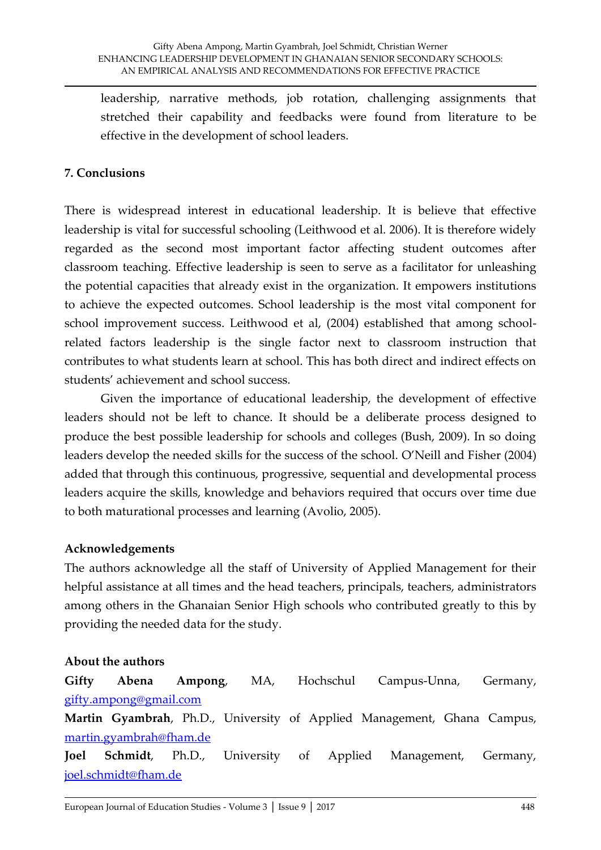leadership, narrative methods, job rotation, challenging assignments that stretched their capability and feedbacks were found from literature to be effective in the development of school leaders.

# **7. Conclusions**

There is widespread interest in educational leadership. It is believe that effective leadership is vital for successful schooling (Leithwood et al. 2006). It is therefore widely regarded as the second most important factor affecting student outcomes after classroom teaching. Effective leadership is seen to serve as a facilitator for unleashing the potential capacities that already exist in the organization. It empowers institutions to achieve the expected outcomes. School leadership is the most vital component for school improvement success. Leithwood et al, (2004) established that among schoolrelated factors leadership is the single factor next to classroom instruction that contributes to what students learn at school. This has both direct and indirect effects on students' achievement and school success.

Given the importance of educational leadership, the development of effective leaders should not be left to chance. It should be a deliberate process designed to produce the best possible leadership for schools and colleges (Bush, 2009). In so doing leaders develop the needed skills for the success of the school. O'Neill and Fisher (2004) added that through this continuous, progressive, sequential and developmental process leaders acquire the skills, knowledge and behaviors required that occurs over time due to both maturational processes and learning (Avolio, 2005).

#### **Acknowledgements**

The authors acknowledge all the staff of University of Applied Management for their helpful assistance at all times and the head teachers, principals, teachers, administrators among others in the Ghanaian Senior High schools who contributed greatly to this by providing the needed data for the study.

# **About the authors**

**Gifty Abena Ampong**, MA, Hochschul Campus-Unna, Germany, [gifty.ampong@gmail.com](mailto:gifty.ampong@gmail.com)

**Martin Gyambrah**, Ph.D., University of Applied Management, Ghana Campus, [martin.gyambrah@fham.de](mailto:martin.gyambrah@fham.de)

**Joel Schmidt**, Ph.D., University of Applied Management, Germany, [joel.schmidt@fham.de](mailto:Joel.Schmidt@fham.de)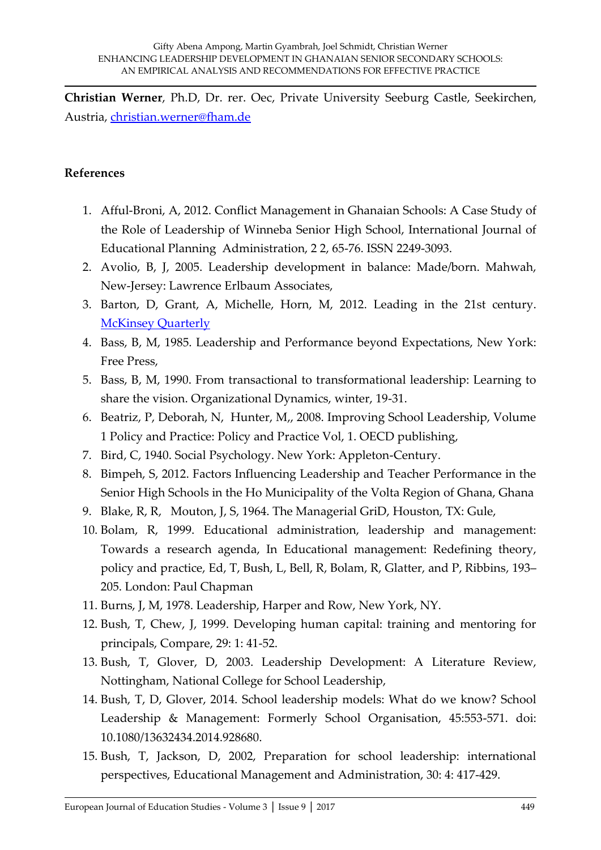**Christian Werner**, Ph.D, Dr. rer. Oec, Private University Seeburg Castle, Seekirchen, Austria, [christian.werner@fham.de](mailto:christian.werner@fham.de)

#### **References**

- 1. Afful-Broni, A, 2012. Conflict Management in Ghanaian Schools: A Case Study of the Role of Leadership of Winneba Senior High School, International Journal of Educational Planning Administration, 2 2, 65-76. ISSN 2249-3093.
- 2. Avolio, B, J, 2005. Leadership development in balance: Made/born. Mahwah, New-Jersey: Lawrence Erlbaum Associates,
- 3. Barton, D, Grant, A, Michelle, Horn, M, 2012. Leading in the 21st century. **[McKinsey Quarterly](http://www.mckinsey.com/quarterly/overview)**
- 4. Bass, B, M, 1985. Leadership and Performance beyond Expectations, New York: Free Press,
- 5. Bass, B, M, 1990. From transactional to transformational leadership: Learning to share the vision. Organizational Dynamics, winter, 19-31.
- 6. Beatriz, P, Deborah, N, Hunter, M,, 2008. Improving School Leadership, Volume 1 Policy and Practice: Policy and Practice Vol, 1. OECD publishing,
- 7. Bird, C, 1940. Social Psychology. New York: Appleton-Century.
- 8. Bimpeh, S, 2012. Factors Influencing Leadership and Teacher Performance in the Senior High Schools in the Ho Municipality of the Volta Region of Ghana, Ghana
- 9. Blake, R, R, Mouton, J, S, 1964. The Managerial GriD, Houston, TX: Gule,
- 10. Bolam, R, 1999. Educational administration, leadership and management: Towards a research agenda, In Educational management: Redefining theory, policy and practice, Ed, T, Bush, L, Bell, R, Bolam, R, Glatter, and P, Ribbins, 193– 205. London: Paul Chapman
- 11. Burns, J, M, 1978. Leadership, Harper and Row, New York, NY.
- 12. Bush, T, Chew, J, 1999. Developing human capital: training and mentoring for principals, Compare, 29: 1: 41-52.
- 13. Bush, T, Glover, D, 2003. Leadership Development: A Literature Review, Nottingham, National College for School Leadership,
- 14. Bush, T, D, Glover, 2014. School leadership models: What do we know? School Leadership & Management: Formerly School Organisation, 45:553-571. doi: 10.1080/13632434.2014.928680.
- 15. Bush, T, Jackson, D, 2002, Preparation for school leadership: international perspectives, Educational Management and Administration, 30: 4: 417-429.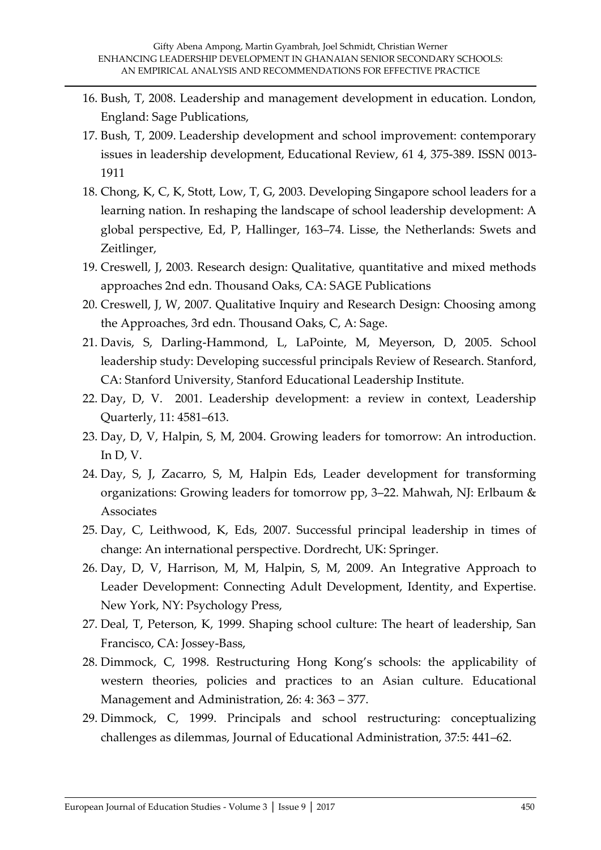- 16. Bush, T, 2008. Leadership and management development in education. London, England: Sage Publications,
- 17. Bush, T, 2009. Leadership development and school improvement: contemporary issues in leadership development, Educational Review, 61 4, 375-389. ISSN 0013- 1911
- 18. Chong, K, C, K, Stott, Low, T, G, 2003. Developing Singapore school leaders for a learning nation. In reshaping the landscape of school leadership development: A global perspective, Ed, P, Hallinger, 163–74. Lisse, the Netherlands: Swets and Zeitlinger,
- 19. Creswell, J, 2003. Research design: Qualitative, quantitative and mixed methods approaches 2nd edn. Thousand Oaks, CA: SAGE Publications
- 20. Creswell, J, W, 2007. Qualitative Inquiry and Research Design: Choosing among the Approaches, 3rd edn. Thousand Oaks, C, A: Sage.
- 21. Davis, S, Darling-Hammond, L, LaPointe, M, Meyerson, D, 2005. School leadership study: Developing successful principals Review of Research. Stanford, CA: Stanford University, Stanford Educational Leadership Institute.
- 22. Day, D, V. 2001. Leadership development: a review in context, Leadership Quarterly, 11: 4581–613.
- 23. Day, D, V, Halpin, S, M, 2004. Growing leaders for tomorrow: An introduction. In  $D, V$ .
- 24. Day, S, J, Zacarro, S, M, Halpin Eds, Leader development for transforming organizations: Growing leaders for tomorrow pp, 3–22. Mahwah, NJ: Erlbaum & Associates
- 25. Day, C, Leithwood, K, Eds, 2007. Successful principal leadership in times of change: An international perspective. Dordrecht, UK: Springer.
- 26. Day, D, V, Harrison, M, M, Halpin, S, M, 2009. An Integrative Approach to Leader Development: Connecting Adult Development, Identity, and Expertise. New York, NY: Psychology Press,
- 27. Deal, T, Peterson, K, 1999. Shaping school culture: The heart of leadership, San Francisco, CA: Jossey-Bass,
- 28. Dimmock, C, 1998. Restructuring Hong Kong's schools: the applicability of western theories, policies and practices to an Asian culture. Educational Management and Administration, 26: 4: 363 – 377.
- 29. Dimmock, C, 1999. Principals and school restructuring: conceptualizing challenges as dilemmas, Journal of Educational Administration, 37:5: 441–62.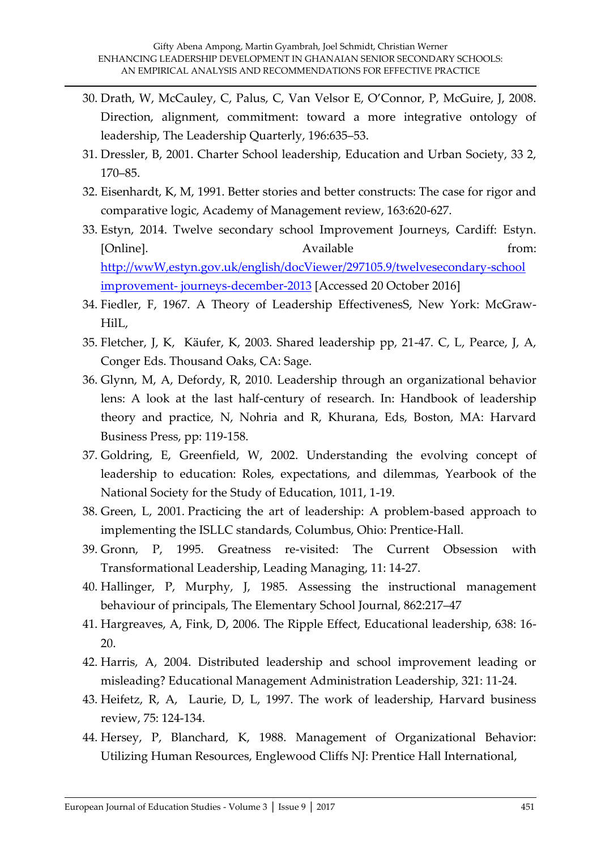- 30. Drath, W, McCauley, C, Palus, C, Van Velsor E, O'Connor, P, McGuire, J, 2008. Direction, alignment, commitment: toward a more integrative ontology of leadership, The Leadership Quarterly, 196:635–53.
- 31. Dressler, B, 2001. Charter School leadership, Education and Urban Society, 33 2, 170–85.
- 32. Eisenhardt, K, M, 1991. Better stories and better constructs: The case for rigor and comparative logic, Academy of Management review, 163:620-627.
- 33. Estyn, 2014. Twelve secondary school Improvement Journeys, Cardiff: Estyn. [Online]. Available from: [http://wwW,estyn.gov.uk/english/docViewer/297105.9/twelvesecondary-school](http://www,estyn.gov.uk/english/docViewer/297105.9/twelvesecondary-school%20improvement-%20journeys-december-2013)  improvement- [journeys-december-2013](http://www,estyn.gov.uk/english/docViewer/297105.9/twelvesecondary-school%20improvement-%20journeys-december-2013) [Accessed 20 October 2016]
- 34. Fiedler, F, 1967. A Theory of Leadership EffectivenesS, New York: McGraw-HilL,
- 35. Fletcher, J, K, Käufer, K, 2003. Shared leadership pp, 21-47. C, L, Pearce, J, A, Conger Eds. Thousand Oaks, CA: Sage.
- 36. Glynn, M, A, Defordy, R, 2010. Leadership through an organizational behavior lens: A look at the last half-century of research. In: Handbook of leadership theory and practice, N, Nohria and R, Khurana, Eds, Boston, MA: Harvard Business Press, pp: 119-158.
- 37. Goldring, E, Greenfield, W, 2002. Understanding the evolving concept of leadership to education: Roles, expectations, and dilemmas, Yearbook of the National Society for the Study of Education, 1011, 1-19.
- 38. Green, L, 2001. Practicing the art of leadership: A problem-based approach to implementing the ISLLC standards, Columbus, Ohio: Prentice-Hall.
- 39. Gronn, P, 1995. Greatness re-visited: The Current Obsession with Transformational Leadership, Leading Managing, 11: 14-27.
- 40. Hallinger, P, Murphy, J, 1985. Assessing the instructional management behaviour of principals, The Elementary School Journal, 862:217–47
- 41. Hargreaves, A, Fink, D, 2006. The Ripple Effect, Educational leadership, 638: 16- 20.
- 42. Harris, A, 2004. Distributed leadership and school improvement leading or misleading? Educational Management Administration Leadership, 321: 11-24.
- 43. Heifetz, R, A, Laurie, D, L, 1997. The work of leadership, Harvard business review, 75: 124-134.
- 44. Hersey, P, Blanchard, K, 1988. Management of Organizational Behavior: Utilizing Human Resources, Englewood Cliffs NJ: Prentice Hall International,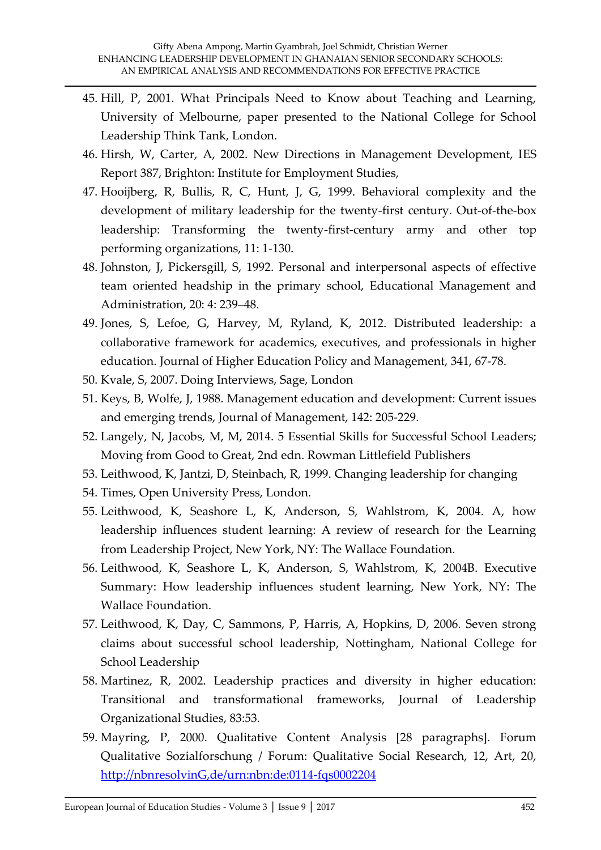- 45. Hill, P, 2001. What Principals Need to Know about Teaching and Learning, University of Melbourne, paper presented to the National College for School Leadership Think Tank, London.
- 46. Hirsh, W, Carter, A, 2002. New Directions in Management Development, IES Report 387, Brighton: Institute for Employment Studies,
- 47. Hooijberg, R, Bullis, R, C, Hunt, J, G, 1999. Behavioral complexity and the development of military leadership for the twenty-first century. Out-of-the-box leadership: Transforming the twenty-first-century army and other top performing organizations, 11: 1-130.
- 48. Johnston, J, Pickersgill, S, 1992. Personal and interpersonal aspects of effective team oriented headship in the primary school, Educational Management and Administration, 20: 4: 239–48.
- 49. Jones, S, Lefoe, G, Harvey, M, Ryland, K, 2012. Distributed leadership: a collaborative framework for academics, executives, and professionals in higher education. Journal of Higher Education Policy and Management, 341, 67-78.
- 50. Kvale, S, 2007. Doing Interviews, Sage, London
- 51. Keys, B, Wolfe, J, 1988. Management education and development: Current issues and emerging trends, Journal of Management, 142: 205-229.
- 52. Langely, N, Jacobs, M, M, 2014. 5 Essential Skills for Successful School Leaders; Moving from Good to Great, 2nd edn. Rowman Littlefield Publishers
- 53. Leithwood, K, Jantzi, D, Steinbach, R, 1999. Changing leadership for changing
- 54. Times, Open University Press, London.
- 55. Leithwood, K, Seashore L, K, Anderson, S, Wahlstrom, K, 2004. A, how leadership influences student learning: A review of research for the Learning from Leadership Project, New York, NY: The Wallace Foundation.
- 56. Leithwood, K, Seashore L, K, Anderson, S, Wahlstrom, K, 2004B. Executive Summary: How leadership influences student learning, New York, NY: The Wallace Foundation.
- 57. Leithwood, K, Day, C, Sammons, P, Harris, A, Hopkins, D, 2006. Seven strong claims about successful school leadership, Nottingham, National College for School Leadership
- 58. Martinez, R, 2002. Leadership practices and diversity in higher education: Transitional and transformational frameworks, Journal of Leadership Organizational Studies, 83:53.
- 59. Mayring, P, 2000. Qualitative Content Analysis [28 paragraphs]. Forum Qualitative Sozialforschung / Forum: Qualitative Social Research, 12, Art, 20, [http://nbnresolvinG,de/urn:nbn:de:0114-fqs0002204](http://nbnresolving.de/urn:nbn:de:0114-fqs0002204)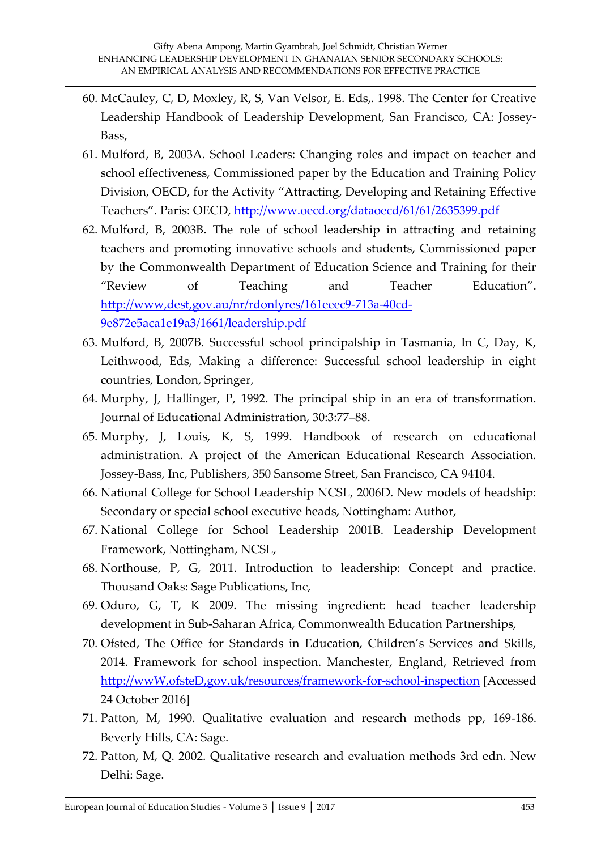- 60. McCauley, C, D, Moxley, R, S, Van Velsor, E. Eds,. 1998. The Center for Creative Leadership Handbook of Leadership Development, San Francisco, CA: Jossey-Bass,
- 61. Mulford, B, 2003A. School Leaders: Changing roles and impact on teacher and school effectiveness, Commissioned paper by the Education and Training Policy Division, OECD, for the Activity 'Attracting, Developing and Retaining Effective Teachers'. Paris: OECD, <http://www.oecd.org/dataoecd/61/61/2635399.pdf>
- 62. Mulford, B, 2003B. The role of school leadership in attracting and retaining teachers and promoting innovative schools and students, Commissioned paper by the Commonwealth Department of Education Science and Training for their 'Review of Teaching and Teacher Education'. [http://www,dest,gov.au/nr/rdonlyres/161eeec9-713a-40cd-](http://www,dest,gov.au/nr/rdonlyres/161eeec9-713a-40cd-9e872e5aca1e19a3/1661/leadership.pdf)[9e872e5aca1e19a3/1661/leadership.pdf](http://www,dest,gov.au/nr/rdonlyres/161eeec9-713a-40cd-9e872e5aca1e19a3/1661/leadership.pdf)
- 63. Mulford, B, 2007B. Successful school principalship in Tasmania, In C, Day, K, Leithwood, Eds, Making a difference: Successful school leadership in eight countries, London, Springer,
- 64. Murphy, J, Hallinger, P, 1992. The principal ship in an era of transformation. Journal of Educational Administration, 30:3:77–88.
- 65. Murphy, J, Louis, K, S, 1999. Handbook of research on educational administration. A project of the American Educational Research Association. Jossey-Bass, Inc, Publishers, 350 Sansome Street, San Francisco, CA 94104.
- 66. National College for School Leadership NCSL, 2006D. New models of headship: Secondary or special school executive heads, Nottingham: Author,
- 67. National College for School Leadership 2001B. Leadership Development Framework, Nottingham, NCSL,
- 68. Northouse, P, G, 2011. Introduction to leadership: Concept and practice. Thousand Oaks: Sage Publications, Inc,
- 69. Oduro, G, T, K 2009. The missing ingredient: head teacher leadership development in Sub-Saharan Africa, Commonwealth Education Partnerships,
- 70. Ofsted, The Office for Standards in Education, Children's Services and Skills, 2014. Framework for school inspection. Manchester, England, Retrieved from [http://wwW,ofsteD,gov.uk/resources/framework-for-school-inspection](http://www.ofsted.gov.uk/resources/framework-for-school-inspection) [Accessed 24 October 2016]
- 71. Patton, M, 1990. Qualitative evaluation and research methods pp, 169-186. Beverly Hills, CA: Sage.
- 72. Patton, M, Q. 2002. Qualitative research and evaluation methods 3rd edn. New Delhi: Sage.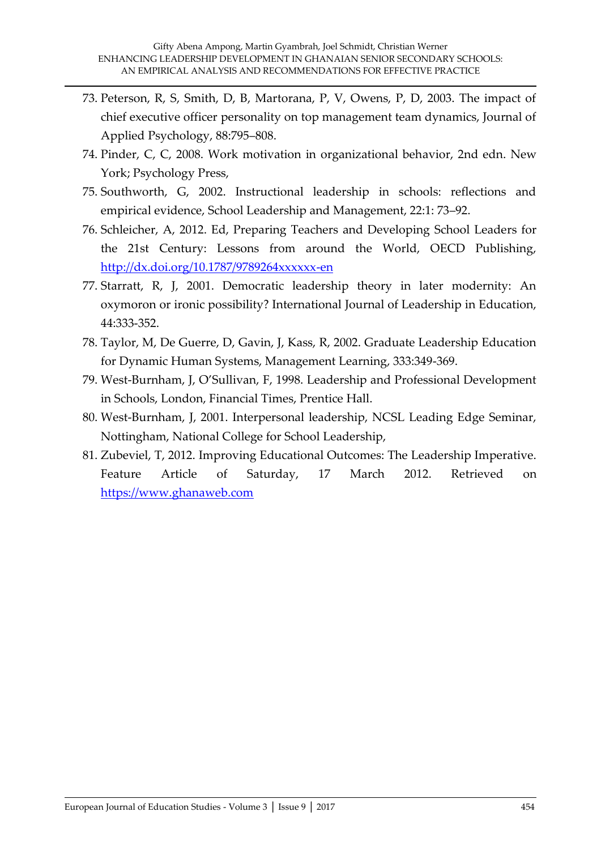- 73. Peterson, R, S, Smith, D, B, Martorana, P, V, Owens, P, D, 2003. The impact of chief executive officer personality on top management team dynamics, Journal of Applied Psychology, 88:795–808.
- 74. Pinder, C, C, 2008. Work motivation in organizational behavior, 2nd edn. New York; Psychology Press,
- 75. Southworth, G, 2002. Instructional leadership in schools: reflections and empirical evidence, School Leadership and Management, 22:1: 73–92.
- 76. Schleicher, A, 2012. Ed, Preparing Teachers and Developing School Leaders for the 21st Century: Lessons from around the World, OECD Publishing, <http://dx.doi.org/10.1787/9789264xxxxxx-en>
- 77. Starratt, R, J, 2001. Democratic leadership theory in later modernity: An oxymoron or ironic possibility? International Journal of Leadership in Education, 44:333-352.
- 78. Taylor, M, De Guerre, D, Gavin, J, Kass, R, 2002. Graduate Leadership Education for Dynamic Human Systems, Management Learning, 333:349-369.
- 79. West-Burnham, J, O'Sullivan, F, 1998. Leadership and Professional Development in Schools, London, Financial Times, Prentice Hall.
- 80. West-Burnham, J, 2001. Interpersonal leadership, NCSL Leading Edge Seminar, Nottingham, National College for School Leadership,
- 81. Zubeviel, T, 2012. Improving Educational Outcomes: The Leadership Imperative. Feature Article of Saturday, 17 March 2012. Retrieved on [https://www.ghanaweb.com](https://www.ghanaweb.com/)